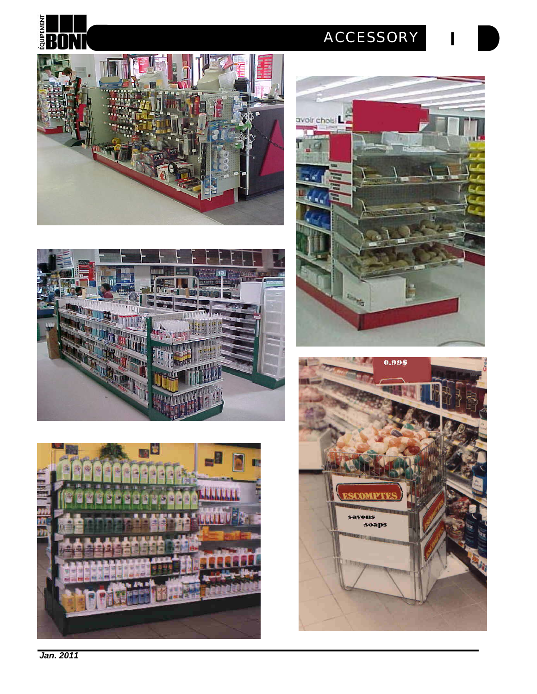

**I**











*Jan. 2011*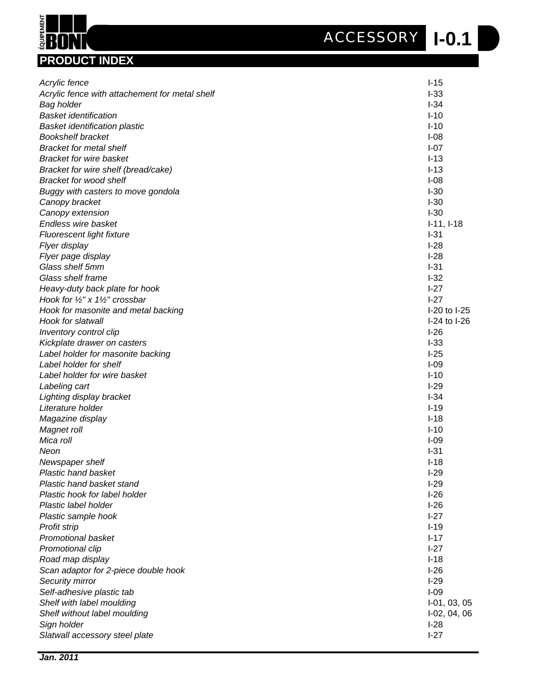**I-0.1** *ACCESSORY*

| $I-15$<br>Acrylic fence<br>$I-33$<br>Acrylic fence with attachement for metal shelf<br>$I-34$<br>Bag holder<br>$I-10$<br><b>Basket identification</b><br>$I-10$<br><b>Basket identification plastic</b><br><b>Bookshelf bracket</b><br>$I-08$<br>$I-07$<br><b>Bracket for metal shelf</b><br><b>Bracket for wire basket</b><br>$I-13$<br>$I-13$<br>Bracket for wire shelf (bread/cake)<br><b>Bracket for wood shelf</b><br>$I-08$<br>$I-30$<br>Buggy with casters to move gondola<br>$I-30$<br>Canopy bracket<br>$I-30$<br>Canopy extension<br>Endless wire basket<br>$I-11, I-18$<br>$I-31$<br>Fluorescent light fixture<br>$I-28$<br>Flyer display<br>$I-28$<br>Flyer page display<br>Glass shelf 5mm<br>$I-31$<br>Glass shelf frame<br>$I-32$<br>$I-27$<br>Heavy-duty back plate for hook<br>Hook for 1/2" x 11/2" crossbar<br>$I-27$<br>I-20 to I-25<br>Hook for masonite and metal backing<br>Hook for slatwall<br>I-24 to I-26<br>$I-26$<br>Inventory control clip<br>$I-33$<br>Kickplate drawer on casters<br>$I-25$<br>Label holder for masonite backing<br>Label holder for shelf<br>$I-09$<br>Label holder for wire basket<br>$I-10$<br>$I-29$<br>Labeling cart<br>$I-34$<br>Lighting display bracket<br>Literature holder<br>$I-19$<br>Magazine display<br>$I-18$<br>Magnet roll<br>$I-10$<br>Mica roll<br>$I-09$<br>$I-31$<br>Neon<br>$I-18$<br>Newspaper shelf<br><b>Plastic hand basket</b><br>$I-29$<br>Plastic hand basket stand<br>$I-29$<br>$I-26$<br>Plastic hook for label holder<br>Plastic label holder<br>$I-26$<br>$I-27$<br>Plastic sample hook<br>$I-19$<br>Profit strip<br><b>Promotional basket</b><br>$I-17$<br>Promotional clip<br>$I-27$<br>$I-18$<br>Road map display<br>$I-26$<br>Scan adaptor for 2-piece double hook<br>$I-29$<br>Security mirror<br>Self-adhesive plastic tab<br>$I-09$<br>Shelf with label moulding<br>$I-01, 03, 05$<br>Shelf without label moulding<br>$I-02, 04, 06$<br>$I-28$<br>Sign holder | <b>PRODUCT INDEX</b> |        |
|-------------------------------------------------------------------------------------------------------------------------------------------------------------------------------------------------------------------------------------------------------------------------------------------------------------------------------------------------------------------------------------------------------------------------------------------------------------------------------------------------------------------------------------------------------------------------------------------------------------------------------------------------------------------------------------------------------------------------------------------------------------------------------------------------------------------------------------------------------------------------------------------------------------------------------------------------------------------------------------------------------------------------------------------------------------------------------------------------------------------------------------------------------------------------------------------------------------------------------------------------------------------------------------------------------------------------------------------------------------------------------------------------------------------------------------------------------------------------------------------------------------------------------------------------------------------------------------------------------------------------------------------------------------------------------------------------------------------------------------------------------------------------------------------------------------------------------------------------------------------------------------------------------------------------------------------------------|----------------------|--------|
|                                                                                                                                                                                                                                                                                                                                                                                                                                                                                                                                                                                                                                                                                                                                                                                                                                                                                                                                                                                                                                                                                                                                                                                                                                                                                                                                                                                                                                                                                                                                                                                                                                                                                                                                                                                                                                                                                                                                                       |                      |        |
|                                                                                                                                                                                                                                                                                                                                                                                                                                                                                                                                                                                                                                                                                                                                                                                                                                                                                                                                                                                                                                                                                                                                                                                                                                                                                                                                                                                                                                                                                                                                                                                                                                                                                                                                                                                                                                                                                                                                                       |                      |        |
|                                                                                                                                                                                                                                                                                                                                                                                                                                                                                                                                                                                                                                                                                                                                                                                                                                                                                                                                                                                                                                                                                                                                                                                                                                                                                                                                                                                                                                                                                                                                                                                                                                                                                                                                                                                                                                                                                                                                                       |                      |        |
|                                                                                                                                                                                                                                                                                                                                                                                                                                                                                                                                                                                                                                                                                                                                                                                                                                                                                                                                                                                                                                                                                                                                                                                                                                                                                                                                                                                                                                                                                                                                                                                                                                                                                                                                                                                                                                                                                                                                                       |                      |        |
|                                                                                                                                                                                                                                                                                                                                                                                                                                                                                                                                                                                                                                                                                                                                                                                                                                                                                                                                                                                                                                                                                                                                                                                                                                                                                                                                                                                                                                                                                                                                                                                                                                                                                                                                                                                                                                                                                                                                                       |                      |        |
|                                                                                                                                                                                                                                                                                                                                                                                                                                                                                                                                                                                                                                                                                                                                                                                                                                                                                                                                                                                                                                                                                                                                                                                                                                                                                                                                                                                                                                                                                                                                                                                                                                                                                                                                                                                                                                                                                                                                                       |                      |        |
|                                                                                                                                                                                                                                                                                                                                                                                                                                                                                                                                                                                                                                                                                                                                                                                                                                                                                                                                                                                                                                                                                                                                                                                                                                                                                                                                                                                                                                                                                                                                                                                                                                                                                                                                                                                                                                                                                                                                                       |                      |        |
|                                                                                                                                                                                                                                                                                                                                                                                                                                                                                                                                                                                                                                                                                                                                                                                                                                                                                                                                                                                                                                                                                                                                                                                                                                                                                                                                                                                                                                                                                                                                                                                                                                                                                                                                                                                                                                                                                                                                                       |                      |        |
|                                                                                                                                                                                                                                                                                                                                                                                                                                                                                                                                                                                                                                                                                                                                                                                                                                                                                                                                                                                                                                                                                                                                                                                                                                                                                                                                                                                                                                                                                                                                                                                                                                                                                                                                                                                                                                                                                                                                                       |                      |        |
|                                                                                                                                                                                                                                                                                                                                                                                                                                                                                                                                                                                                                                                                                                                                                                                                                                                                                                                                                                                                                                                                                                                                                                                                                                                                                                                                                                                                                                                                                                                                                                                                                                                                                                                                                                                                                                                                                                                                                       |                      |        |
|                                                                                                                                                                                                                                                                                                                                                                                                                                                                                                                                                                                                                                                                                                                                                                                                                                                                                                                                                                                                                                                                                                                                                                                                                                                                                                                                                                                                                                                                                                                                                                                                                                                                                                                                                                                                                                                                                                                                                       |                      |        |
|                                                                                                                                                                                                                                                                                                                                                                                                                                                                                                                                                                                                                                                                                                                                                                                                                                                                                                                                                                                                                                                                                                                                                                                                                                                                                                                                                                                                                                                                                                                                                                                                                                                                                                                                                                                                                                                                                                                                                       |                      |        |
|                                                                                                                                                                                                                                                                                                                                                                                                                                                                                                                                                                                                                                                                                                                                                                                                                                                                                                                                                                                                                                                                                                                                                                                                                                                                                                                                                                                                                                                                                                                                                                                                                                                                                                                                                                                                                                                                                                                                                       |                      |        |
|                                                                                                                                                                                                                                                                                                                                                                                                                                                                                                                                                                                                                                                                                                                                                                                                                                                                                                                                                                                                                                                                                                                                                                                                                                                                                                                                                                                                                                                                                                                                                                                                                                                                                                                                                                                                                                                                                                                                                       |                      |        |
|                                                                                                                                                                                                                                                                                                                                                                                                                                                                                                                                                                                                                                                                                                                                                                                                                                                                                                                                                                                                                                                                                                                                                                                                                                                                                                                                                                                                                                                                                                                                                                                                                                                                                                                                                                                                                                                                                                                                                       |                      |        |
|                                                                                                                                                                                                                                                                                                                                                                                                                                                                                                                                                                                                                                                                                                                                                                                                                                                                                                                                                                                                                                                                                                                                                                                                                                                                                                                                                                                                                                                                                                                                                                                                                                                                                                                                                                                                                                                                                                                                                       |                      |        |
|                                                                                                                                                                                                                                                                                                                                                                                                                                                                                                                                                                                                                                                                                                                                                                                                                                                                                                                                                                                                                                                                                                                                                                                                                                                                                                                                                                                                                                                                                                                                                                                                                                                                                                                                                                                                                                                                                                                                                       |                      |        |
|                                                                                                                                                                                                                                                                                                                                                                                                                                                                                                                                                                                                                                                                                                                                                                                                                                                                                                                                                                                                                                                                                                                                                                                                                                                                                                                                                                                                                                                                                                                                                                                                                                                                                                                                                                                                                                                                                                                                                       |                      |        |
|                                                                                                                                                                                                                                                                                                                                                                                                                                                                                                                                                                                                                                                                                                                                                                                                                                                                                                                                                                                                                                                                                                                                                                                                                                                                                                                                                                                                                                                                                                                                                                                                                                                                                                                                                                                                                                                                                                                                                       |                      |        |
|                                                                                                                                                                                                                                                                                                                                                                                                                                                                                                                                                                                                                                                                                                                                                                                                                                                                                                                                                                                                                                                                                                                                                                                                                                                                                                                                                                                                                                                                                                                                                                                                                                                                                                                                                                                                                                                                                                                                                       |                      |        |
|                                                                                                                                                                                                                                                                                                                                                                                                                                                                                                                                                                                                                                                                                                                                                                                                                                                                                                                                                                                                                                                                                                                                                                                                                                                                                                                                                                                                                                                                                                                                                                                                                                                                                                                                                                                                                                                                                                                                                       |                      |        |
|                                                                                                                                                                                                                                                                                                                                                                                                                                                                                                                                                                                                                                                                                                                                                                                                                                                                                                                                                                                                                                                                                                                                                                                                                                                                                                                                                                                                                                                                                                                                                                                                                                                                                                                                                                                                                                                                                                                                                       |                      |        |
|                                                                                                                                                                                                                                                                                                                                                                                                                                                                                                                                                                                                                                                                                                                                                                                                                                                                                                                                                                                                                                                                                                                                                                                                                                                                                                                                                                                                                                                                                                                                                                                                                                                                                                                                                                                                                                                                                                                                                       |                      |        |
|                                                                                                                                                                                                                                                                                                                                                                                                                                                                                                                                                                                                                                                                                                                                                                                                                                                                                                                                                                                                                                                                                                                                                                                                                                                                                                                                                                                                                                                                                                                                                                                                                                                                                                                                                                                                                                                                                                                                                       |                      |        |
|                                                                                                                                                                                                                                                                                                                                                                                                                                                                                                                                                                                                                                                                                                                                                                                                                                                                                                                                                                                                                                                                                                                                                                                                                                                                                                                                                                                                                                                                                                                                                                                                                                                                                                                                                                                                                                                                                                                                                       |                      |        |
|                                                                                                                                                                                                                                                                                                                                                                                                                                                                                                                                                                                                                                                                                                                                                                                                                                                                                                                                                                                                                                                                                                                                                                                                                                                                                                                                                                                                                                                                                                                                                                                                                                                                                                                                                                                                                                                                                                                                                       |                      |        |
|                                                                                                                                                                                                                                                                                                                                                                                                                                                                                                                                                                                                                                                                                                                                                                                                                                                                                                                                                                                                                                                                                                                                                                                                                                                                                                                                                                                                                                                                                                                                                                                                                                                                                                                                                                                                                                                                                                                                                       |                      |        |
|                                                                                                                                                                                                                                                                                                                                                                                                                                                                                                                                                                                                                                                                                                                                                                                                                                                                                                                                                                                                                                                                                                                                                                                                                                                                                                                                                                                                                                                                                                                                                                                                                                                                                                                                                                                                                                                                                                                                                       |                      |        |
|                                                                                                                                                                                                                                                                                                                                                                                                                                                                                                                                                                                                                                                                                                                                                                                                                                                                                                                                                                                                                                                                                                                                                                                                                                                                                                                                                                                                                                                                                                                                                                                                                                                                                                                                                                                                                                                                                                                                                       |                      |        |
|                                                                                                                                                                                                                                                                                                                                                                                                                                                                                                                                                                                                                                                                                                                                                                                                                                                                                                                                                                                                                                                                                                                                                                                                                                                                                                                                                                                                                                                                                                                                                                                                                                                                                                                                                                                                                                                                                                                                                       |                      |        |
|                                                                                                                                                                                                                                                                                                                                                                                                                                                                                                                                                                                                                                                                                                                                                                                                                                                                                                                                                                                                                                                                                                                                                                                                                                                                                                                                                                                                                                                                                                                                                                                                                                                                                                                                                                                                                                                                                                                                                       |                      |        |
|                                                                                                                                                                                                                                                                                                                                                                                                                                                                                                                                                                                                                                                                                                                                                                                                                                                                                                                                                                                                                                                                                                                                                                                                                                                                                                                                                                                                                                                                                                                                                                                                                                                                                                                                                                                                                                                                                                                                                       |                      |        |
|                                                                                                                                                                                                                                                                                                                                                                                                                                                                                                                                                                                                                                                                                                                                                                                                                                                                                                                                                                                                                                                                                                                                                                                                                                                                                                                                                                                                                                                                                                                                                                                                                                                                                                                                                                                                                                                                                                                                                       |                      |        |
|                                                                                                                                                                                                                                                                                                                                                                                                                                                                                                                                                                                                                                                                                                                                                                                                                                                                                                                                                                                                                                                                                                                                                                                                                                                                                                                                                                                                                                                                                                                                                                                                                                                                                                                                                                                                                                                                                                                                                       |                      |        |
|                                                                                                                                                                                                                                                                                                                                                                                                                                                                                                                                                                                                                                                                                                                                                                                                                                                                                                                                                                                                                                                                                                                                                                                                                                                                                                                                                                                                                                                                                                                                                                                                                                                                                                                                                                                                                                                                                                                                                       |                      |        |
|                                                                                                                                                                                                                                                                                                                                                                                                                                                                                                                                                                                                                                                                                                                                                                                                                                                                                                                                                                                                                                                                                                                                                                                                                                                                                                                                                                                                                                                                                                                                                                                                                                                                                                                                                                                                                                                                                                                                                       |                      |        |
|                                                                                                                                                                                                                                                                                                                                                                                                                                                                                                                                                                                                                                                                                                                                                                                                                                                                                                                                                                                                                                                                                                                                                                                                                                                                                                                                                                                                                                                                                                                                                                                                                                                                                                                                                                                                                                                                                                                                                       |                      |        |
|                                                                                                                                                                                                                                                                                                                                                                                                                                                                                                                                                                                                                                                                                                                                                                                                                                                                                                                                                                                                                                                                                                                                                                                                                                                                                                                                                                                                                                                                                                                                                                                                                                                                                                                                                                                                                                                                                                                                                       |                      |        |
|                                                                                                                                                                                                                                                                                                                                                                                                                                                                                                                                                                                                                                                                                                                                                                                                                                                                                                                                                                                                                                                                                                                                                                                                                                                                                                                                                                                                                                                                                                                                                                                                                                                                                                                                                                                                                                                                                                                                                       |                      |        |
|                                                                                                                                                                                                                                                                                                                                                                                                                                                                                                                                                                                                                                                                                                                                                                                                                                                                                                                                                                                                                                                                                                                                                                                                                                                                                                                                                                                                                                                                                                                                                                                                                                                                                                                                                                                                                                                                                                                                                       |                      |        |
|                                                                                                                                                                                                                                                                                                                                                                                                                                                                                                                                                                                                                                                                                                                                                                                                                                                                                                                                                                                                                                                                                                                                                                                                                                                                                                                                                                                                                                                                                                                                                                                                                                                                                                                                                                                                                                                                                                                                                       |                      |        |
|                                                                                                                                                                                                                                                                                                                                                                                                                                                                                                                                                                                                                                                                                                                                                                                                                                                                                                                                                                                                                                                                                                                                                                                                                                                                                                                                                                                                                                                                                                                                                                                                                                                                                                                                                                                                                                                                                                                                                       |                      |        |
|                                                                                                                                                                                                                                                                                                                                                                                                                                                                                                                                                                                                                                                                                                                                                                                                                                                                                                                                                                                                                                                                                                                                                                                                                                                                                                                                                                                                                                                                                                                                                                                                                                                                                                                                                                                                                                                                                                                                                       |                      |        |
|                                                                                                                                                                                                                                                                                                                                                                                                                                                                                                                                                                                                                                                                                                                                                                                                                                                                                                                                                                                                                                                                                                                                                                                                                                                                                                                                                                                                                                                                                                                                                                                                                                                                                                                                                                                                                                                                                                                                                       |                      |        |
|                                                                                                                                                                                                                                                                                                                                                                                                                                                                                                                                                                                                                                                                                                                                                                                                                                                                                                                                                                                                                                                                                                                                                                                                                                                                                                                                                                                                                                                                                                                                                                                                                                                                                                                                                                                                                                                                                                                                                       |                      |        |
|                                                                                                                                                                                                                                                                                                                                                                                                                                                                                                                                                                                                                                                                                                                                                                                                                                                                                                                                                                                                                                                                                                                                                                                                                                                                                                                                                                                                                                                                                                                                                                                                                                                                                                                                                                                                                                                                                                                                                       |                      |        |
|                                                                                                                                                                                                                                                                                                                                                                                                                                                                                                                                                                                                                                                                                                                                                                                                                                                                                                                                                                                                                                                                                                                                                                                                                                                                                                                                                                                                                                                                                                                                                                                                                                                                                                                                                                                                                                                                                                                                                       |                      |        |
|                                                                                                                                                                                                                                                                                                                                                                                                                                                                                                                                                                                                                                                                                                                                                                                                                                                                                                                                                                                                                                                                                                                                                                                                                                                                                                                                                                                                                                                                                                                                                                                                                                                                                                                                                                                                                                                                                                                                                       |                      |        |
|                                                                                                                                                                                                                                                                                                                                                                                                                                                                                                                                                                                                                                                                                                                                                                                                                                                                                                                                                                                                                                                                                                                                                                                                                                                                                                                                                                                                                                                                                                                                                                                                                                                                                                                                                                                                                                                                                                                                                       |                      |        |
|                                                                                                                                                                                                                                                                                                                                                                                                                                                                                                                                                                                                                                                                                                                                                                                                                                                                                                                                                                                                                                                                                                                                                                                                                                                                                                                                                                                                                                                                                                                                                                                                                                                                                                                                                                                                                                                                                                                                                       |                      |        |
|                                                                                                                                                                                                                                                                                                                                                                                                                                                                                                                                                                                                                                                                                                                                                                                                                                                                                                                                                                                                                                                                                                                                                                                                                                                                                                                                                                                                                                                                                                                                                                                                                                                                                                                                                                                                                                                                                                                                                       |                      |        |
|                                                                                                                                                                                                                                                                                                                                                                                                                                                                                                                                                                                                                                                                                                                                                                                                                                                                                                                                                                                                                                                                                                                                                                                                                                                                                                                                                                                                                                                                                                                                                                                                                                                                                                                                                                                                                                                                                                                                                       |                      |        |
| Slatwall accessory steel plate                                                                                                                                                                                                                                                                                                                                                                                                                                                                                                                                                                                                                                                                                                                                                                                                                                                                                                                                                                                                                                                                                                                                                                                                                                                                                                                                                                                                                                                                                                                                                                                                                                                                                                                                                                                                                                                                                                                        |                      | $I-27$ |

**ÉQUIPEMENT**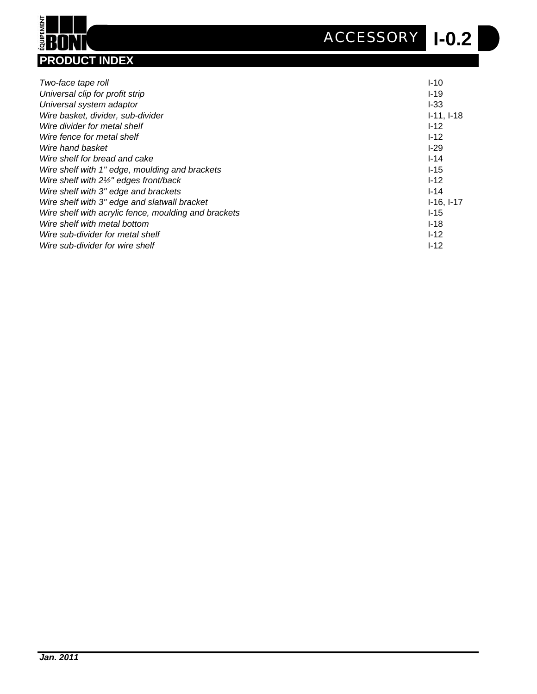**I-0.2** *ACCESSORY*



| Two-face tape roll                                   | $I-10$       |
|------------------------------------------------------|--------------|
| Universal clip for profit strip                      | $1 - 19$     |
| Universal system adaptor                             | $I-33$       |
| Wire basket, divider, sub-divider                    | $I-11, I-18$ |
| Wire divider for metal shelf                         | $I-12$       |
| Wire fence for metal shelf                           | $I-12$       |
| Wire hand basket                                     | $1-29$       |
| Wire shelf for bread and cake                        | $I-14$       |
| Wire shelf with 1" edge, moulding and brackets       | $I-15$       |
| Wire shelf with 21/2" edges front/back               | $I-12$       |
| Wire shelf with 3" edge and brackets                 | $I - 14$     |
| Wire shelf with 3" edge and slatwall bracket         | $I-16, I-17$ |
| Wire shelf with acrylic fence, moulding and brackets | $I-15$       |
| Wire shelf with metal bottom                         | $I-18$       |
| Wire sub-divider for metal shelf                     | $I-12$       |
| Wire sub-divider for wire shelf                      | $I - 12$     |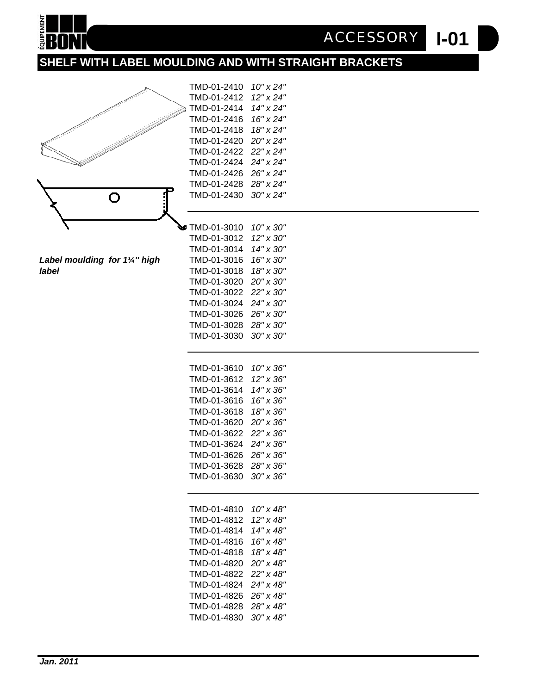

# **SHELF WITH LABEL MOULDING AND WITH STRAIGHT BRACKETS**

TMD-01-2410 *10" x 24"*



*Label moulding for 1<sup>1/2</sup> high* 

|                               | TMD-01-2412           | 12" x 24" |  |
|-------------------------------|-----------------------|-----------|--|
|                               | TMD-01-2414           | 14" x 24" |  |
|                               | TMD-01-2416           | 16" x 24" |  |
|                               | TMD-01-2418           | 18" x 24" |  |
|                               | TMD-01-2420           | 20" x 24" |  |
|                               | TMD-01-2422           | 22" x 24" |  |
|                               | TMD-01-2424           | 24" x 24" |  |
|                               | TMD-01-2426           | 26" x 24" |  |
|                               | TMD-01-2428           | 28" x 24" |  |
| O                             | TMD-01-2430           | 30" x 24" |  |
|                               |                       |           |  |
|                               |                       |           |  |
|                               | TMD-01-3010           | 10" x 30" |  |
|                               | TMD-01-3012           | 12" x 30" |  |
|                               | TMD-01-3014           | 14" x 30" |  |
| Label moulding for 11/4" high | TMD-01-3016           | 16" x 30" |  |
| label                         | TMD-01-3018           | 18" x 30" |  |
|                               | TMD-01-3020           | 20" x 30" |  |
|                               | TMD-01-3022           | 22" x 30" |  |
|                               | TMD-01-3024           | 24" x 30" |  |
|                               | TMD-01-3026           | 26" x 30" |  |
|                               | TMD-01-3028           | 28" x 30" |  |
|                               | TMD-01-3030           | 30" x 30" |  |
|                               |                       |           |  |
|                               |                       |           |  |
|                               | TMD-01-3610           | 10" x 36" |  |
|                               | TMD-01-3612           | 12" x 36" |  |
|                               | TMD-01-3614           | 14" x 36" |  |
|                               | TMD-01-3616           | 16" x 36" |  |
|                               | TMD-01-3618           | 18" x 36" |  |
|                               | TMD-01-3620           | 20" x 36" |  |
|                               | TMD-01-3622           | 22" x 36" |  |
|                               | TMD-01-3624           | 24" x 36" |  |
|                               | TMD-01-3626           | 26" x 36" |  |
|                               | TMD-01-3628           | 28" x 36" |  |
|                               | TMD-01-3630           | 30" x 36" |  |
|                               |                       |           |  |
|                               | TMD-01-4810           | 10" x 48" |  |
|                               | TMD-01-4812           | 12" x 48" |  |
|                               | TMD-01-4814           | 14" x 48" |  |
|                               | TMD-01-4816           | 16" x 48" |  |
|                               | TMD-01-4818           | 18" x 48" |  |
|                               | TMD-01-4820           | 20" x 48" |  |
|                               | TMD-01-4822           | 22" x 48" |  |
|                               | TMD-01-4824           | 24" x 48" |  |
|                               | TMD-01-4826 26" x 48" |           |  |
|                               | TMD-01-4828 28" x 48" |           |  |
|                               | TMD-01-4830           | 30" x 48" |  |
|                               |                       |           |  |

**I-01** *ACCESSORY*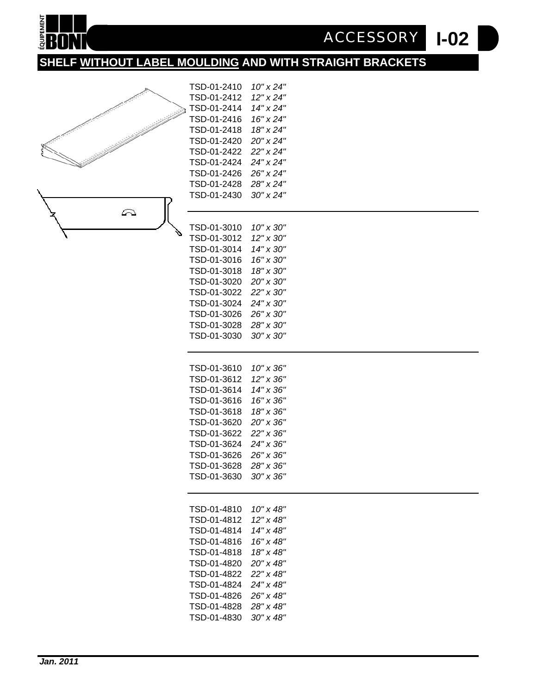

# **SHELF WITHOUT LABEL MOULDING AND WITH STRAIGHT BRACKETS**

TSD-01-2410 *10" x 24"*



|   | TSD-01-2412 | 12" x 24"          |  |
|---|-------------|--------------------|--|
| à | TSD-01-2414 | 14" x 24"          |  |
|   | TSD-01-2416 | 16" x 24"          |  |
|   | TSD-01-2418 | 18" x 24"          |  |
|   | TSD-01-2420 | 20" x 24"          |  |
|   | TSD-01-2422 | 22" x 24"          |  |
|   | TSD-01-2424 | 24" x 24"          |  |
|   | TSD-01-2426 | 26" x 24"          |  |
|   | TSD-01-2428 | 28" x 24"          |  |
|   | TSD-01-2430 | $30''$ x $24''$    |  |
|   |             |                    |  |
|   |             |                    |  |
|   | TSD-01-3010 | 10" x 30"          |  |
|   | TSD-01-3012 | 12" x 30"          |  |
|   | TSD-01-3014 | 14" x 30"          |  |
|   | TSD-01-3016 | 16" x 30"          |  |
|   | TSD-01-3018 | 18" x 30"          |  |
|   | TSD-01-3020 | 20" x 30"          |  |
|   | TSD-01-3022 | 22" x 30"          |  |
|   | TSD-01-3024 | 24" x 30"          |  |
|   | TSD-01-3026 | 26" x 30"          |  |
|   | TSD-01-3028 | 28" x 30"          |  |
|   |             | $30'' \times 30''$ |  |
|   | TSD-01-3030 |                    |  |
|   |             |                    |  |
|   | TSD-01-3610 | 10" x 36"          |  |
|   | TSD-01-3612 | 12" x 36"          |  |
|   | TSD-01-3614 | 14" x 36"          |  |
|   | TSD-01-3616 | 16" x 36"          |  |
|   | TSD-01-3618 | 18" x 36"          |  |
|   |             |                    |  |
|   | TSD-01-3620 | 20" x 36"          |  |
|   | TSD-01-3622 | 22" x 36"          |  |
|   | TSD-01-3624 | 24" x 36"          |  |
|   | TSD-01-3626 | 26" x 36"          |  |
|   | TSD-01-3628 | 28" x 36"          |  |
|   | TSD-01-3630 | 30" x 36"          |  |
|   |             |                    |  |
|   |             |                    |  |
|   | TSD-01-4810 | 10" x 48"          |  |
|   | TSD-01-4812 | 12" x 48"          |  |
|   | TSD-01-4814 | 14" x 48"          |  |
|   | TSD-01-4816 | 16" x 48"          |  |
|   | TSD-01-4818 | 18" x 48"          |  |
|   | TSD-01-4820 | 20" x 48"          |  |
|   | TSD-01-4822 | 22" x 48"          |  |
|   | TSD-01-4824 | 24" x 48"          |  |
|   | TSD-01-4826 | 26" x 48"          |  |
|   | TSD-01-4828 | 28" x 48"          |  |
|   | TSD-01-4830 | $30'' \times 48''$ |  |
|   |             |                    |  |

**I-02** *ACCESSORY*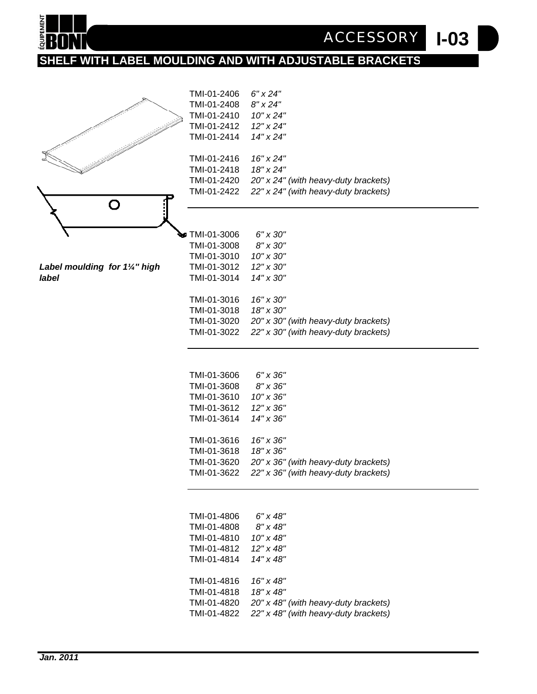

# **SHELF WITH LABEL MOULDING AND WITH ADJUSTABLE BRACKETS**



*Label moulding for 11/4" high label* TMI-01-3014 *14" x 30"*

| TMI-01-2406   | 6" x 24"                             |  |
|---------------|--------------------------------------|--|
| TMI-01-2408   | $8"$ x 24"                           |  |
|               |                                      |  |
| TMI-01-2410   | $10"$ x 24"                          |  |
| TMI-01-2412   | 12" x 24"                            |  |
| TMI-01-2414   | 14" x 24"                            |  |
|               |                                      |  |
| TMI-01-2416   | 16" x 24"                            |  |
| TMI-01-2418   | 18" x 24"                            |  |
| TMI-01-2420   | 20" x 24" (with heavy-duty brackets) |  |
| TMI-01-2422   | 22" x 24" (with heavy-duty brackets) |  |
|               |                                      |  |
|               |                                      |  |
|               |                                      |  |
| 7MI-01-3006 ⊓ | 6" x 30"                             |  |
| TMI-01-3008   | 8" x 30"                             |  |
| TMI-01-3010   |                                      |  |
|               | 10" x 30"                            |  |
| TMI-01-3012   | 12" x 30"                            |  |

**I-03** *ACCESSORY*

| TMI-01-3016 | 16" x 30"                                                 |
|-------------|-----------------------------------------------------------|
| TMI-01-3018 | 18" x 30"                                                 |
|             | TMI-01-3020 $20" \times 30"$ (with heavy-duty brackets)   |
|             | TMI-01-3022 $22'' \times 30''$ (with heavy-duty brackets) |
|             |                                                           |

| TMI-01-3606 | 6" x 36"                             |
|-------------|--------------------------------------|
| TMI-01-3608 | $8'' \times 36''$                    |
| TMI-01-3610 | $10" \times 36"$                     |
| TMI-01-3612 | $12" \times 36"$                     |
| TMI-01-3614 | 14" x 36"                            |
|             |                                      |
| TMI-01-3616 | 16" x 36"                            |
| TMI-01-3618 | 18" x 36"                            |
| TMI-01-3620 | 20" x 36" (with heavy-duty brackets) |
| TMI-01-3622 | 22" x 36" (with heavy-duty brackets) |
|             |                                      |

| TMI-01-4806 | 6" x 48"                             |
|-------------|--------------------------------------|
| TMI-01-4808 | $8" \times 48"$                      |
| TMI-01-4810 | 10" x 48"                            |
| TMI-01-4812 | 12" x 48"                            |
| TMI-01-4814 | 14" x 48"                            |
|             |                                      |
| TMI-01-4816 | 16" x 48"                            |
| TMI-01-4818 | 18" x 48"                            |
| TMI-01-4820 | 20" x 48" (with heavy-duty brackets) |
| TMI-01-4822 | 22" x 48" (with heavy-duty brackets) |
|             |                                      |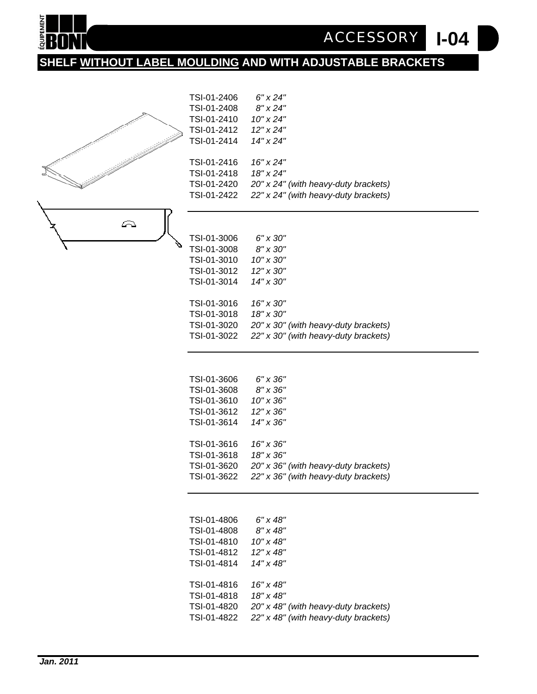

# **SHELF WITHOUT LABEL MOULDING AND WITH ADJUSTABLE BRACKETS**



| TSI-01-3010 | 10" x 30"                            |
|-------------|--------------------------------------|
| TSI-01-3012 | $12" \times 30"$                     |
| TSI-01-3014 | $14" \times 30"$                     |
|             |                                      |
| TSI-01-3016 | $16" \times 30"$                     |
| TSI-01-3018 | $18" \times 30"$                     |
| TSI-01-3020 | 20" x 30" (with heavy-duty brackets) |
| TSI-01-3022 | 22" x 30" (with heavy-duty brackets) |
|             |                                      |

**I-04**

*ACCESSORY*

| TSI-01-3606 | 6" x 36"                             |
|-------------|--------------------------------------|
| TSI-01-3608 | $8'' \times 36''$                    |
| TSI-01-3610 | $10" \times 36"$                     |
| TSI-01-3612 | 12" x 36"                            |
| TSI-01-3614 | $14" \times 36"$                     |
|             |                                      |
| TSI-01-3616 | $16" \times 36"$                     |
| TSI-01-3618 | 18" x 36"                            |
| TSI-01-3620 | 20" x 36" (with heavy-duty brackets) |
| TSI-01-3622 | 22" x 36" (with heavy-duty brackets) |
|             |                                      |

| TSI-01-4806 | 6" x 48"                             |
|-------------|--------------------------------------|
| TSI-01-4808 | $8" \times 48"$                      |
| TSI-01-4810 | $10'' \times 48''$                   |
| TSI-01-4812 | $12" \times 48"$                     |
| TSI-01-4814 | 14" x 48"                            |
|             |                                      |
| TSI-01-4816 | 16" x 48"                            |
| TSI-01-4818 | 18" x 48"                            |
| TSI-01-4820 | 20" x 48" (with heavy-duty brackets) |
| TSI-01-4822 | 22" x 48" (with heavy-duty brackets) |
|             |                                      |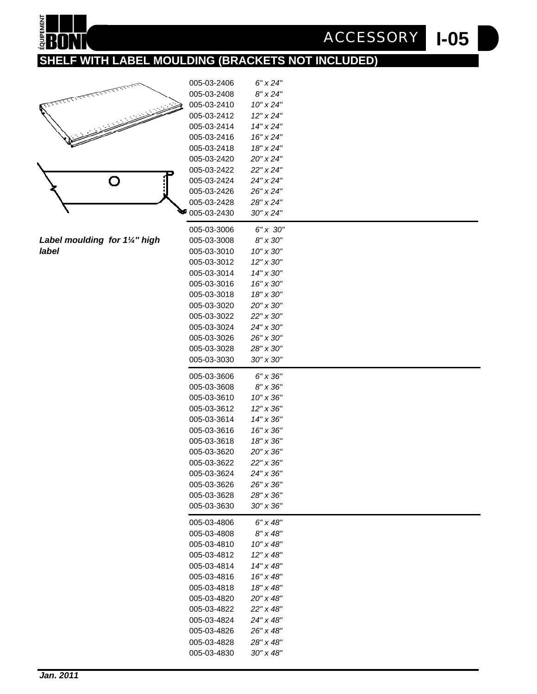# **I-05** *ACCESSORY*

# **SHELF WITH LABEL MOULDING (BRACKETS NOT INCLUDED)**



**EQUIPEMENT** 

Label moulding for 1<sup>1/4"</sup> high *label* 005-03-3010 *10" x 30"*

| 005-03-2406           | $6" \times 24"$               |  |
|-----------------------|-------------------------------|--|
| 005-03-2408           | $8" \times 24"$               |  |
| 005-03-2410           | $10"$ x $24"$                 |  |
| 005-03-2412           | 12" x 24"                     |  |
| 005-03-2414           | 14" x 24"                     |  |
| 005-03-2416           | 16" x 24"                     |  |
| 005-03-2418           | 18" x 24"                     |  |
| 005-03-2420           | 20" x 24"                     |  |
| 005-03-2422           | 22" x 24"                     |  |
| 005-03-2424           | 24" x 24"                     |  |
| 005-03-2426           | 26" x 24"                     |  |
| 005-03-2428           | 28" x 24"                     |  |
| $\bullet$ 005-03-2430 | 30" x 24"                     |  |
| 005-03-3006           | 6" x 30"                      |  |
| 005-03-3008           | 8" x 30"                      |  |
| 005-03-3010           | $10'' \times 30''$            |  |
|                       |                               |  |
| 005-03-3012           | 12" x 30"<br>$14" \times 30"$ |  |
| 005-03-3014           |                               |  |
| 005-03-3016           | 16" x 30"                     |  |
| 005-03-3018           | 18" x 30"                     |  |
| 005-03-3020           | 20" x 30"                     |  |
| 005-03-3022           | 22" x 30"                     |  |
| 005-03-3024           | 24" x 30"                     |  |
| 005-03-3026           | 26" x 30"                     |  |
| 005-03-3028           | 28" x 30"                     |  |
| 005-03-3030           | 30" x 30"                     |  |
| 005-03-3606           | $6'' \times 36''$             |  |
| 005-03-3608           | $8'' \times 36''$             |  |
| 005-03-3610           | $10'' \times 36''$            |  |
| 005-03-3612           | 12" x 36"                     |  |
| 005-03-3614           | 14" x 36"                     |  |
| 005-03-3616           | 16" x 36"                     |  |
| 005-03-3618           | 18" x 36"                     |  |
| 005-03-3620           | 20" x 36"                     |  |
| 005-03-3622           | 22" x 36"                     |  |
| 005-03-3624           | 24" x 36"                     |  |
| 005-03-3626           | 26" x 36"                     |  |
| 005-03-3628           | 28" x 36"                     |  |
| 005-03-3630           | 30" x 36"                     |  |
|                       |                               |  |
| 005-03-4806           | 6" x 48"                      |  |
| 005-03-4808           | $8''$ x 48"                   |  |
| 005-03-4810           | $10'' \times 48''$            |  |
| 005-03-4812           | 12" x 48"                     |  |
| 005-03-4814           | 14" x 48"                     |  |
| 005-03-4816           | 16" x 48"                     |  |
| 005-03-4818           | 18" x 48"                     |  |
| 005-03-4820           | 20" x 48"                     |  |
| 005-03-4822           | 22" x 48"                     |  |
| 005-03-4824           | 24" x 48"                     |  |
| 005-03-4826           | 26" x 48"                     |  |
| 005-03-4828           | 28" x 48"                     |  |
| 005-03-4830           | $30'' \times 48''$            |  |
|                       |                               |  |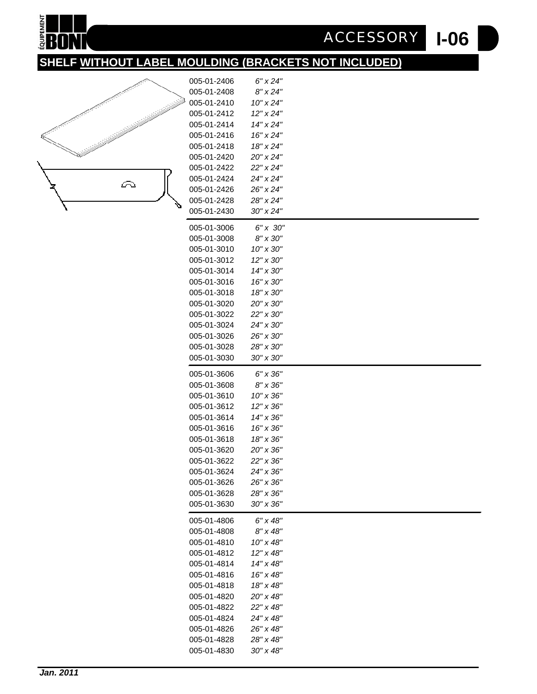# **I-06** *ACCESSORY*

# **SHELF WITHOUT LABEL MOULDING (BRACKETS NOT INCLUDED)**

005-01-2406 *6" x 24"* 005-01-2408 *8" x 24"*



EQUIPEMENT H Ш

| 005-01-2410 | 10" x 24"          |  |
|-------------|--------------------|--|
| 005-01-2412 | $12"$ x $24"$      |  |
| 005-01-2414 | 14" x 24"          |  |
| 005-01-2416 | 16" x 24"          |  |
| 005-01-2418 | 18" x 24"          |  |
| 005-01-2420 | 20" x 24"          |  |
| 005-01-2422 | 22" x 24"          |  |
| 005-01-2424 | 24" x 24"          |  |
| 005-01-2426 | 26" x 24"          |  |
| 005-01-2428 | 28" x 24"          |  |
| 005-01-2430 | $30''$ x $24''$    |  |
| 005-01-3006 | 6" x 30"           |  |
| 005-01-3008 | 8" x 30"           |  |
| 005-01-3010 | 10" x 30"          |  |
| 005-01-3012 | 12" x 30"          |  |
| 005-01-3014 | $14'' \times 30''$ |  |
| 005-01-3016 | 16" x 30"          |  |
| 005-01-3018 | 18" x 30"          |  |
| 005-01-3020 | 20" x 30"          |  |
| 005-01-3022 | 22" x 30"          |  |
| 005-01-3024 | 24" x 30"          |  |
| 005-01-3026 | 26" x 30"          |  |
| 005-01-3028 | 28" x 30"          |  |
| 005-01-3030 | 30" x 30"          |  |
| 005-01-3606 | 6" x 36"           |  |
| 005-01-3608 | 8" x 36"           |  |
| 005-01-3610 | 10" x 36"          |  |
| 005-01-3612 | 12" x 36"          |  |
| 005-01-3614 | $14'' \times 36''$ |  |
| 005-01-3616 | $16'' \times 36''$ |  |
| 005-01-3618 | 18" x 36"          |  |
| 005-01-3620 | 20" x 36"          |  |
| 005-01-3622 | 22" x 36"          |  |
| 005-01-3624 | 24" x 36"          |  |
| 005-01-3626 | 26" x 36"          |  |
| 005-01-3628 | 28" x 36"          |  |
| 005-01-3630 | 30" x 36"          |  |
| 005-01-4806 | 6" x 48"           |  |
| 005-01-4808 | $8" \times 48"$    |  |
| 005-01-4810 | 10" x 48"          |  |
| 005-01-4812 | 12" x 48"          |  |
| 005-01-4814 | 14" x 48"          |  |
| 005-01-4816 | 16" x 48"          |  |
| 005-01-4818 | 18" x 48"          |  |
| 005-01-4820 | 20" x 48"          |  |
| 005-01-4822 | 22" x 48"          |  |
| 005-01-4824 | 24" x 48"          |  |
| 005-01-4826 | 26" x 48"          |  |
| 005-01-4828 | 28" x 48"          |  |
| 005-01-4830 | 30" x 48"          |  |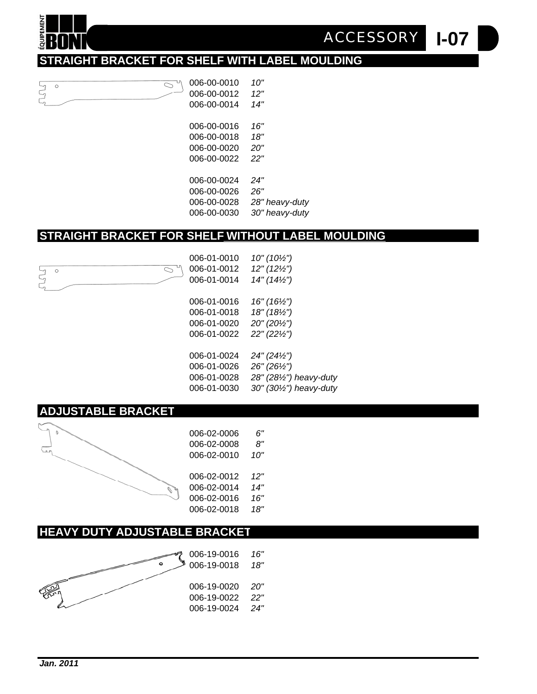#### **I-07** *ACCESSORY*

# **STRAIGHT BRACKET FOR SHELF WITH LABEL MOULDING**



**OUIPEMEN** 

**PDI** 

 $\circ$ 

| 006-00-0016 | 16"            |
|-------------|----------------|
| 006-00-0018 | 18"            |
| 006-00-0020 | 20"            |
| 006-00-0022 | 22"            |
|             |                |
| 006-00-0024 | 24"            |
| 006-00-0026 | 26"            |
| 006-00-0028 | 28" heavy-duty |
| 006-00-0030 | 30" heavy-duty |
|             |                |

#### **STRAIGHT BRACKET FOR SHELF WITHOUT LABEL MOULDING**

006-01-0010 *10" (10½")* 006-01-0012 *12" (12½")*  $\bigcirc$ 006-01-0014 *14" (14½")* 006-01-0016 *16" (16½")* 006-01-0018 *18" (18½")* 006-01-0020 *20" (20½")* 006-01-0022 *22" (22½")* 006-01-0024 *24" (24½")* 006-01-0026 *26" (26½")* 006-01-0028 *28" (28½") heavy-duty* 006-01-0030 *30" (30½") heavy-duty*

# **ADJUSTABLE BRACKET**



# **HEAVY DUTY ADJUSTABLE BRACKET**

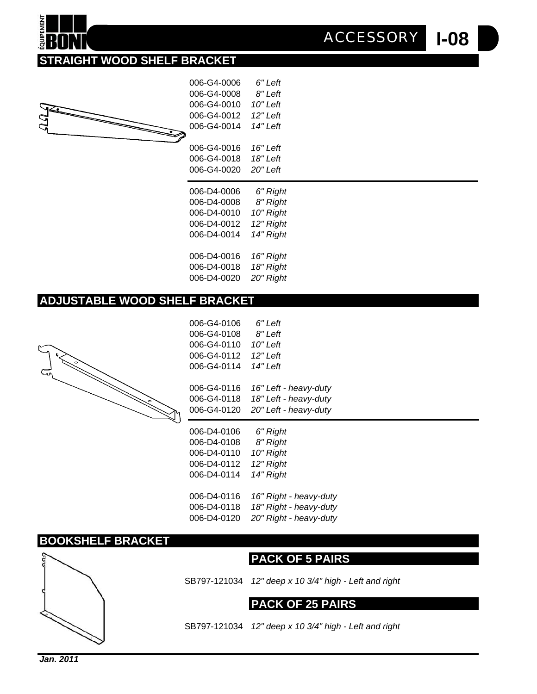**I-08** *ACCESSORY*

# **STRAIGHT WOOD SHELF BRACKET**



| 006-G4-0006 | 6" Left   |  |
|-------------|-----------|--|
| 006-G4-0008 | 8" Left   |  |
| 006-G4-0010 | 10" Left  |  |
| 006-G4-0012 | 12" Left  |  |
| 006-G4-0014 | 14" Left  |  |
|             |           |  |
| 006-G4-0016 | 16" Left  |  |
| 006-G4-0018 | 18" Left  |  |
| 006-G4-0020 | 20" Left  |  |
|             |           |  |
|             |           |  |
| 006-D4-0006 | 6" Right  |  |
| 006-D4-0008 | 8" Right  |  |
| 006-D4-0010 | 10" Right |  |
| 006-D4-0012 | 12" Right |  |
| 006-D4-0014 | 14" Right |  |
|             |           |  |
| 006-D4-0016 | 16" Right |  |
| 006-D4-0018 | 18" Right |  |
| 006-D4-0020 | 20" Right |  |

#### **ADJUSTABLE WOOD SHELF BRACKET**



| 006-G4-0106 | 6" Left                |
|-------------|------------------------|
| 006-G4-0108 | 8" Left                |
| 006-G4-0110 | 10" Left               |
| 006-G4-0112 | 12" Left               |
| 006-G4-0114 | 14" Left               |
|             |                        |
| 006-G4-0116 | 16" Left - heavy-duty  |
| 006-G4-0118 | 18" Left - heavy-duty  |
| 006-G4-0120 | 20" Left - heavy-duty  |
|             |                        |
| 006-D4-0106 |                        |
| 006-D4-0108 | 6" Right               |
| 006-D4-0110 | 8" Right<br>10" Right  |
| 006-D4-0112 | 12" Right              |
| 006-D4-0114 | 14" Right              |
|             |                        |
| 006-D4-0116 | 16" Right - heavy-duty |

006-D4-0120 *20" Right - heavy-duty*

#### **BOOKSHELF BRACKET**





SB797-121034 *12" deep x 10 3/4" high - Left and right*

#### **PACK OF 25 PAIRS**

SB797-121034 *12" deep x 10 3/4" high - Left and right*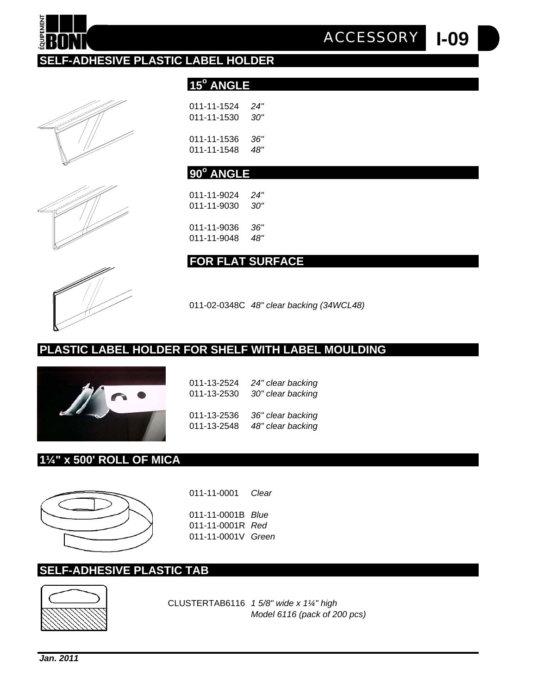CLUSTERTAB6116 *1 5/8" wide x 1¼" high* 

# **SELF-ADHESIVE PLASTIC TAB**



**1¼" x 500' ROLL OF MICA**



| 011-13-2524 | 24" clear backing |
|-------------|-------------------|
| 011-13-2530 | 30" clear backing |
| 011-13-2536 | 36" clear backing |
| 011-13-2548 | 48" clear backing |

011-02-0348C *48" clear backing (34WCL48)*



# **FOR FLAT SURFACE**







# 011-11-1524 *24"* 011-11-1530 *30"* 011-11-1536 *36"*

15° ANGLE

**SELF-ADHESIVE PLASTIC LABEL HOLDER**

011-11-1548 *48"*

011-11-9036 *36"*

**PLASTIC LABEL HOLDER FOR SHELF WITH LABEL MOULDING**

# **90o ANGLE**

011-11-9024 *24"* 011-11-9030 *30"* 011-11-9048 *48"*

**I-09** *ACCESSORY*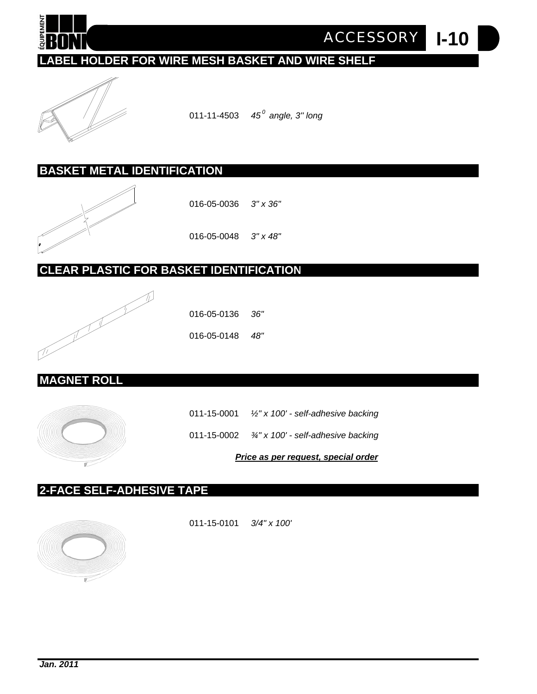

**I-10** *ACCESSORY*

# **LABEL HOLDER FOR WIRE MESH BASKET AND WIRE SHELF**



011-11-4503 *45 0 angle, 3'' long*

#### **BASKET METAL IDENTIFICATION**



016-05-0036 *3" x 36"*

016-05-0048 *3" x 48"*

# **CLEAR PLASTIC FOR BASKET IDENTIFICATION**



016-05-0136 *36"*

016-05-0148 *48"*

#### **MAGNET ROLL**



011-15-0001 *½" x 100' - self-adhesive backing*

011-15-0002 *¾" x 100' - self-adhesive backing*

*Price as per request, special order*

#### **2-FACE SELF-ADHESIVE TAPE**



011-15-0101 *3/4" x 100'*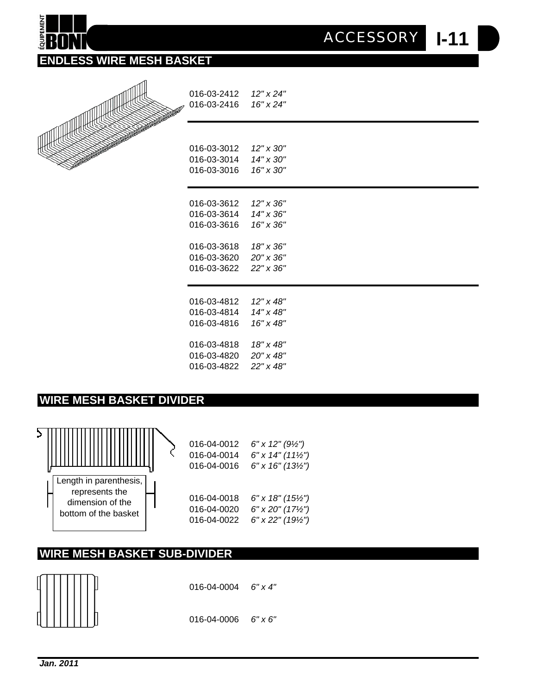| ACCESSORY | I-11 |
|-----------|------|
|-----------|------|

**ENDLESS WIRE MESH BASKET**



#### **WIRE MESH BASKET DIVIDER**



# **WIRE MESH BASKET SUB-DIVIDER**



016-04-0004 *6" x 4"*

016-04-0006 *6" x 6"*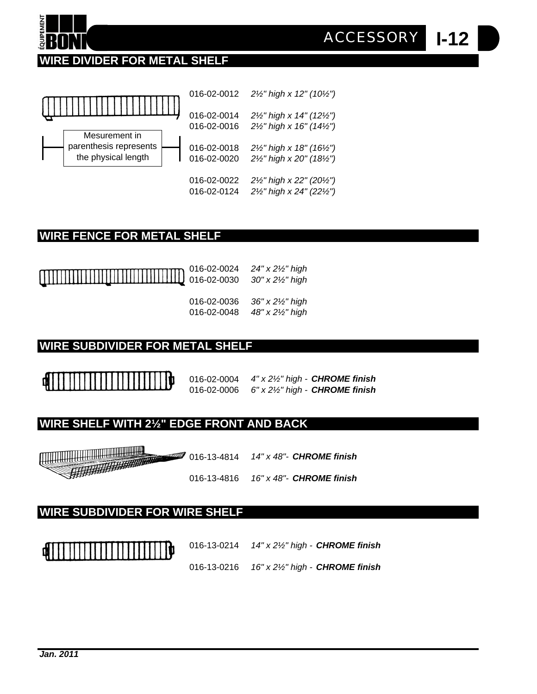



#### **WIRE FENCE FOR METAL SHELF**



016-02-0024 *24" x 2½" high* 016-02-0030 *30" x 2½" high*

016-02-0036 *36" x 2½" high* 016-02-0048 *48" x 2½" high*

#### **WIRE SUBDIVIDER FOR METAL SHELF**

016-02-0004 *4" x 2½" high - CHROME finish* 016-02-0006 *6" x 2½" high - CHROME finish* **I-12**

*ACCESSORY*

# **WIRE SHELF WITH 2½" EDGE FRONT AND BACK**

WWW.COMMUNICATION 016-13-4814 *14" x 48"- CHROME finish* 016-13-4816 *16" x 48"- CHROME finish*

#### **WIRE SUBDIVIDER FOR WIRE SHELF**



- 016-13-0214 *14" x 2½" high CHROME finish*
- 016-13-0216 *16" x 2½" high CHROME finish*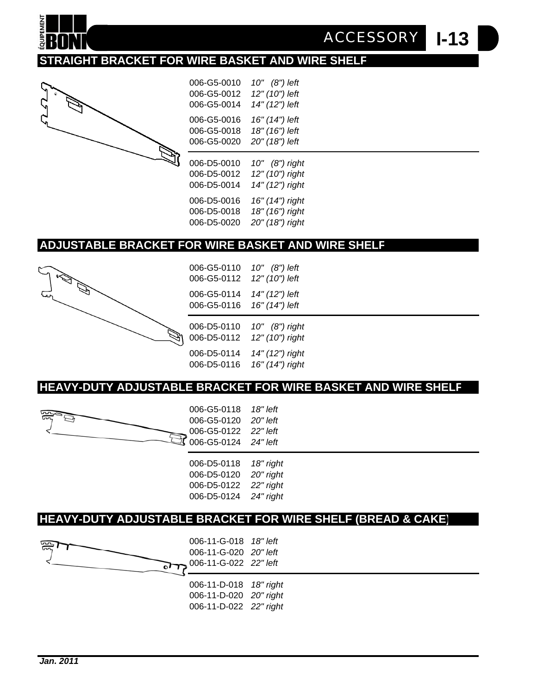

**I-13** *ACCESSORY*

# **STRAIGHT BRACKET FOR WIRE BASKET AND WIRE SHELF**



| 006-G5-0010 | 10" (8") left   |
|-------------|-----------------|
| 006-G5-0012 | 12" (10") left  |
| 006-G5-0014 | 14" (12") left  |
| 006-G5-0016 | 16" (14") left  |
| 006-G5-0018 | 18" (16") left  |
| 006-G5-0020 | 20" (18") left  |
|             |                 |
| 006-D5-0010 | 10" (8") right  |
| 006-D5-0012 | 12" (10") right |
| 006-D5-0014 | 14" (12") right |

#### **ADJUSTABLE BRACKET FOR WIRE BASKET AND WIRE SHELF**



006-G5-0110 *10" (8") left*  006-G5-0112 *12" (10") left* 006-G5-0114 *14" (12") left* 006-G5-0116 *16" (14") left*

006-D5-0110 *10" (8") right* 006-D5-0112 *12" (10") right* 006-D5-0114 *14" (12") right* 006-D5-0116 *16" (14") right*

#### **HEAVY-DUTY ADJUSTABLE BRACKET FOR WIRE BASKET AND WIRE SHELF**



| 006-D5-0118 | 18" right |
|-------------|-----------|
| 006-D5-0120 | 20" right |
| 006-D5-0122 | 22" right |
| 006-D5-0124 | 24" right |
|             |           |

#### **HEAVY-DUTY ADJUSTABLE BRACKET FOR WIRE SHELF (BREAD & CAKE)**

006-11-G-018 *18" left* 006-11-G-020 *20" left* 006-11-G-022 *22" left* فلعره 006-11-D-018 *18" right* 006-11-D-020 *20" right* 006-11-D-022 *22" right*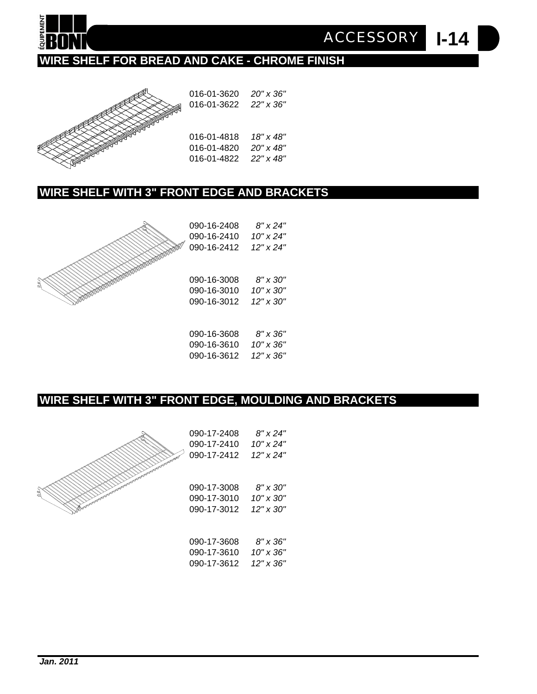

**I-14** *ACCESSORY*

# **WIRE SHELF FOR BREAD AND CAKE - CHROME FINISH**



016-01-3620 *20" x 36"* 016-01-3622 *22" x 36"* 016-01-4818 *18" x 48"* 016-01-4820 *20" x 48"*

016-01-4822 *22" x 48"*

#### **WIRE SHELF WITH 3" FRONT EDGE AND BRACKETS**



| 090-16-2408<br>090-16-2410<br>090-16-2412 | 8" x 24"<br>10" x 24"<br>12" x 24" |  |
|-------------------------------------------|------------------------------------|--|
| 090-16-3008                               | 8" x 30"                           |  |
| 090-16-3010                               | 10" x 30"                          |  |
| 090-16-3012                               | 12" x 30"                          |  |
|                                           |                                    |  |
|                                           |                                    |  |

090-16-3608 *8" x 36"* 090-16-3610 *10" x 36"* 090-16-3612 *12" x 36"*

#### **WIRE SHELF WITH 3" FRONT EDGE, MOULDING AND BRACKETS**



| 8" x 24"<br>10" x 24"<br>12" x 24"<br>8" x 30"<br>10" x 30"<br>$12" \times 30"$<br>8" x 36"<br>10" x 36" |
|----------------------------------------------------------------------------------------------------------|

| 090-17-3610 | 10" x 36' |
|-------------|-----------|
| 090-17-3612 | 12" x 36' |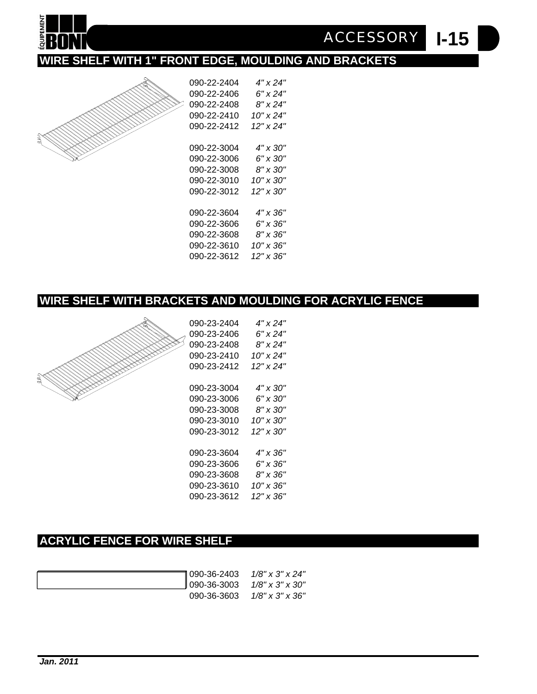

| 090-22-2404 | 4" x 24"        |
|-------------|-----------------|
| 090-22-2406 | 6" x 24"        |
| 090-22-2408 | 8" x 24"        |
| 090-22-2410 | 10" x 24"       |
| 090-22-2412 | 12" x 24"       |
|             |                 |
| 090-22-3004 | 4" x 30"        |
| 090-22-3006 | 6" x 30"        |
| 090-22-3008 | $8" \times 30"$ |
| 090-22-3010 | 10" x 30"       |
| 090-22-3012 | 12" x 30"       |
|             |                 |
| 090-22-3604 | 4" x 36"        |
| 090-22-3606 | 6" x 36"        |
| 090-22-3608 | 8" x 36"        |
| 090-22-3610 | 10" x 36"       |
| 090-22-3612 | 12" x 36"       |

**I-15** *ACCESSORY*

# **WIRE SHELF WITH BRACKETS AND MOULDING FOR ACRYLIC FENCE**



| 090-23-2404 | 4" x 24"  |
|-------------|-----------|
| 090-23-2406 | 6" x 24"  |
| 090-23-2408 | 8" x 24"  |
| 090-23-2410 | 10" x 24" |
| 090-23-2412 | 12" x 24" |
|             |           |
| 090-23-3004 | 4" x 30"  |
| 090-23-3006 | 6" x 30"  |
| 090-23-3008 | 8" x 30"  |
| 090-23-3010 | 10" x 30" |
| 090-23-3012 | 12" x 30" |
|             |           |
| 090-23-3604 | 4" x 36"  |
| 090-23-3606 | 6" x 36"  |
| 090-23-3608 | 8" x 36"  |
| 090-23-3610 | 10" x 36" |
| 090-23-3612 | 12" x 36" |
|             |           |

# **ACRYLIC FENCE FOR WIRE SHELF**

| ¶ 090-36-2403 <i>1/8" x 3" x 24"</i>                |
|-----------------------------------------------------|
| $\parallel$ 090-36-3003 $1/8" \times 3" \times 30"$ |
| 090-36-3603 $1/8$ " x 3" x 36"                      |

Ξ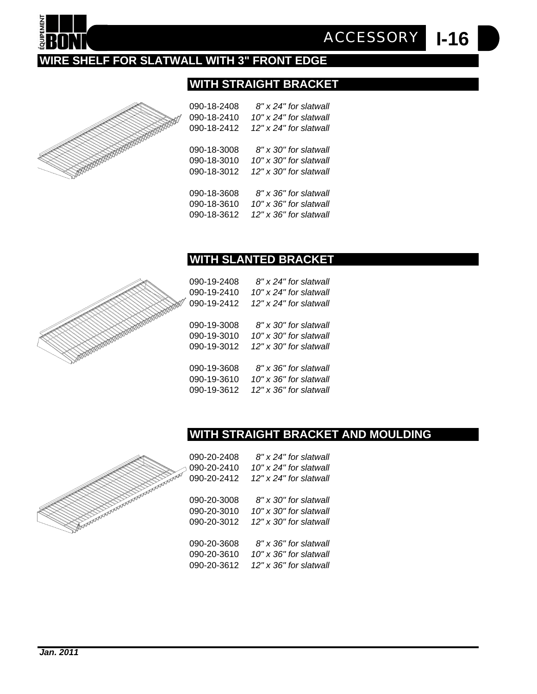# **WIRE SHELF FOR SLATWALL WITH 3" FRONT EDGE**

#### **WITH STRAIGHT BRACKET**

|                                                                                                                                                                                                                                                                                                                                                                                                                                                                                                                                                                                                                                                    |                                                                                                                                                                                                                                                                                                                                                                                                                                                                                                                                                                                                                                                                                                                                        | an Maria Karata Tanzania.<br>Kata ing Panahang Karata Tanzania (Karata Tanzania).<br>$\overline{\phantom{0}}$<br>i de la caracció de la caracció de la caracció de la caracció de la caracció de la caracció de la caracció de<br>La caracció de la caracció de la caracció de la caracció de la caracció de la caracció de la caracció de la ca<br>e de la calacterística de la calacterística de la calacterística de la calacterística de la calacterística de<br>La calacterística de la calacterística de la calacterística de la calacterística de la calacterística de la ca<br>$\overline{\phantom{a}}$<br>keen meer<br>╲                                                                                                                                                       |
|----------------------------------------------------------------------------------------------------------------------------------------------------------------------------------------------------------------------------------------------------------------------------------------------------------------------------------------------------------------------------------------------------------------------------------------------------------------------------------------------------------------------------------------------------------------------------------------------------------------------------------------------------|----------------------------------------------------------------------------------------------------------------------------------------------------------------------------------------------------------------------------------------------------------------------------------------------------------------------------------------------------------------------------------------------------------------------------------------------------------------------------------------------------------------------------------------------------------------------------------------------------------------------------------------------------------------------------------------------------------------------------------------|-----------------------------------------------------------------------------------------------------------------------------------------------------------------------------------------------------------------------------------------------------------------------------------------------------------------------------------------------------------------------------------------------------------------------------------------------------------------------------------------------------------------------------------------------------------------------------------------------------------------------------------------------------------------------------------------------------------------------------------------------------------------------------------------|
| ka masa katanan ang Panglangan                                                                                                                                                                                                                                                                                                                                                                                                                                                                                                                                                                                                                     | $\overline{\phantom{a}}$<br>╲<br>en de la partie de la partie de la partie de la partie de la partie de la partie de la partie de la partie de<br>Décembre de la partie de la partie de la partie de la partie de la partie de la partie de la partie de la part<br><b>Service Service</b><br>$\searrow$<br>$\overline{\phantom{0}}$<br><u>a dheka a sheka a sheka a sheka a sheka a sheka a sheka a sheka a sheka a sheka a sheka a sheka a sheka a shek</u><br><u>android and a shear gr</u><br><u>android and the contract of the contract of the contract of the contract of the contract of the contract of the contract of the contract of the contract of the contract of the contract of the contract of the contract of t</u> | <u>android and a shear group</u><br>in the contract of the contract of the contract of the contract of the contract of the contract of the contract of the contract of the contract of the contract of the contract of the contract of the contract of the contrac<br>$\overline{\phantom{a}}$<br>e de la companya de la companya de la companya de la companya de la companya de la companya de la companya de<br>La companya de la companya de la companya de la companya de la companya de la companya de la companya de la co<br>en de la companya de la companya de la companya de la companya de la companya de la companya de la companya de<br>La companya de la companya de la companya de la companya de la companya de la companya de la companya de la co<br><b>Sources</b> |
| k.<br>Kabupatèn Panangkat<br><u>and</u><br>en de la companya de la companya de la companya de la companya de la companya de la companya de la companya de<br>Desenvolver de la companya de la companya de la companya de la companya de la companya de la companya de la co<br><u>i</u><br>ka kabupatén Kabupatén Kabu<br>$\overline{\phantom{a}}$<br>in the contract of the contract of the contract of the contract of the contract of the contract of the contract of the contract of the contract of the contract of the contract of the contract of the contract of the contrac<br>$\overline{\phantom{a}}$<br><u>android and a grea</u><br>↞ | $\overline{\phantom{a}}$<br>へんかん                                                                                                                                                                                                                                                                                                                                                                                                                                                                                                                                                                                                                                                                                                       |                                                                                                                                                                                                                                                                                                                                                                                                                                                                                                                                                                                                                                                                                                                                                                                         |
|                                                                                                                                                                                                                                                                                                                                                                                                                                                                                                                                                                                                                                                    |                                                                                                                                                                                                                                                                                                                                                                                                                                                                                                                                                                                                                                                                                                                                        |                                                                                                                                                                                                                                                                                                                                                                                                                                                                                                                                                                                                                                                                                                                                                                                         |

| 090-18-2410<br>090-18-2412 | 12" x 24" for slatwall |
|----------------------------|------------------------|
| 090-18-3008                | 8" x 30" for slatwall  |
| 090-18-3010                | 10" x 30" for slatwall |
| 090-18-3012                | 12" x 30" for slatwall |
| 090-18-3608                | 8" x 36" for slatwall  |
| 090-18-3610                | 10" x 36" for slatwall |
| 090-18-3612                | 12" x 36" for slatwall |

#### **WITH SLANTED BRACKET**

090-19-2408 *8" x 24" for slatwall* 090-19-2410 *10" x 24" for slatwall* 090-19-2412 *12" x 24" for slatwall* 090-19-3008 *8" x 30" for slatwall* 090-19-3010 *10" x 30" for slatwall* 090-19-3012 *12" x 30" for slatwall* 090-19-3608 *8" x 36" for slatwall* 090-19-3610 *10" x 36" for slatwall* 090-19-3612 *12" x 36" for slatwall*

#### **WITH STRAIGHT BRACKET AND MOULDING**



| 090-20-2408 | 8" x 24" for slatwall      |
|-------------|----------------------------|
| 090-20-2410 | $10"$ x 24" for slatwall   |
| 090-20-2412 | 12" x 24" for slatwall     |
|             |                            |
| 090-20-3008 | 8" x 30" for slatwall      |
| 090-20-3010 | 10" x 30" for slatwall     |
| 090-20-3012 | $12"$ x $30"$ for slatwall |
|             |                            |
| 090-20-3608 | 8" x 36" for slatwall      |
| 090-20-3610 | 10" x 36" for slatwall     |
| 090-20-3612 | 12" x 36" for slatwall     |

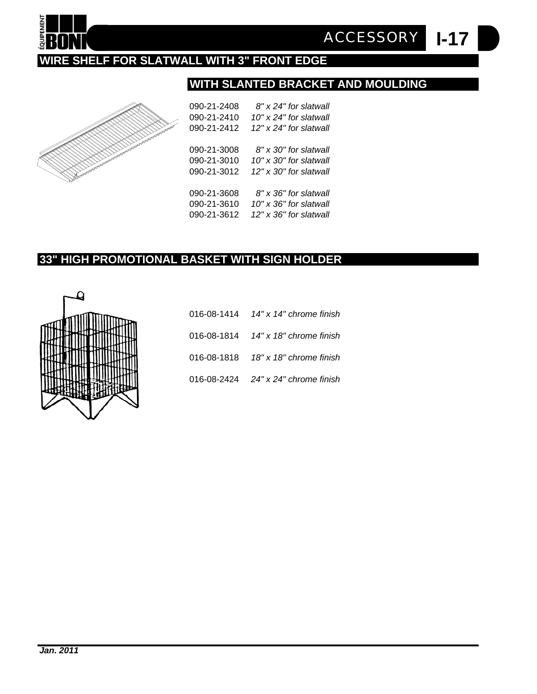

**I-17** *ACCESSORY*

# **WIRE SHELF FOR SLATWALL WITH 3" FRONT EDGE**

# **WITH SLANTED BRACKET AND MOULDING**



| 090-21-2408 | 8" x 24" for slatwall  |
|-------------|------------------------|
| 090-21-2410 | 10" x 24" for slatwall |
| 090-21-2412 | 12" x 24" for slatwall |
| 090-21-3008 | 8" x 30" for slatwall  |
| 090-21-3010 | 10" x 30" for slatwall |
| 090-21-3012 | 12" x 30" for slatwall |
| 090-21-3608 | 8" x 36" for slatwall  |
| 090-21-3610 | 10" x 36" for slatwall |
| 090-21-3612 | 12" x 36" for slatwall |
|             |                        |

## **33" HIGH PROMOTIONAL BASKET WITH SIGN HOLDER**



| 016-08-1414 14" x 14" chrome finish    |
|----------------------------------------|
| 016-08-1814 $14''$ x 18" chrome finish |
| 016-08-1818 18" x 18" chrome finish    |
| 016-08-2424 24" x 24" chrome finish    |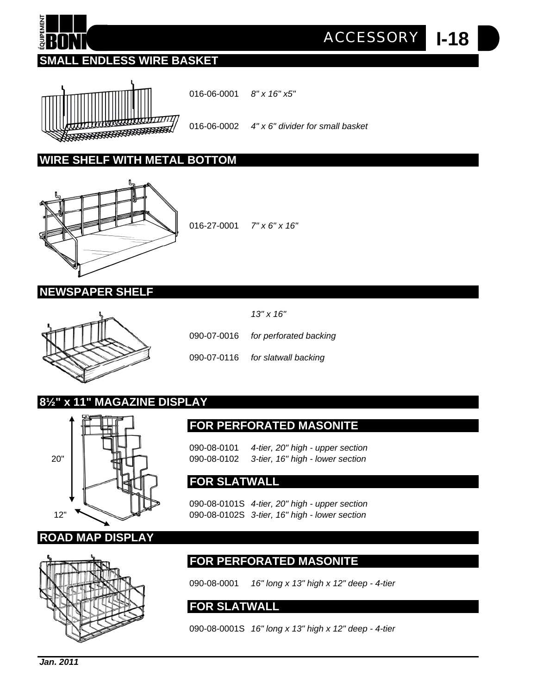# **SMALL ENDLESS WIRE BASKET**



016-06-0001 *8" x 16" x5"*

016-06-0002 *4" x 6" divider for small basket*

**I-18** *ACCESSORY*

#### **WIRE SHELF WITH METAL BOTTOM**



016-27-0001 *7" x 6" x 16"*

#### **NEWSPAPER SHELF**



090-07-0016 *for perforated backing* 090-07-0116 *for slatwall backing*

*13'' x 16''*

# **8½" x 11" MAGAZINE DISPLAY**



#### **FOR SLATWALL**

090-08-0101S *4-tier, 20" high - upper section* 12" 090-08-0102S *3-tier, 16" high - lower section*

**FOR PERFORATED MASONITE**

090-08-0101 *4-tier, 20" high - upper section*



# **FOR PERFORATED MASONITE**

090-08-0001 *16" long x 13" high x 12" deep - 4-tier*

#### **FOR SLATWALL**

090-08-0001S *16" long x 13" high x 12" deep - 4-tier*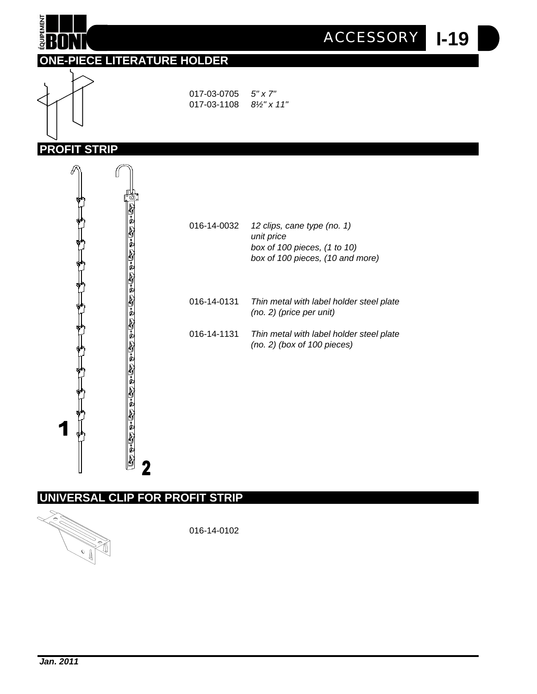

## **ONE-PIECE LITERATURE HOLDER**



017-03-0705 *5" x 7"* 017-03-1108 *8½" x 11"*





# **UNIVERSAL CLIP FOR PROFIT STRIP**



016-14-0102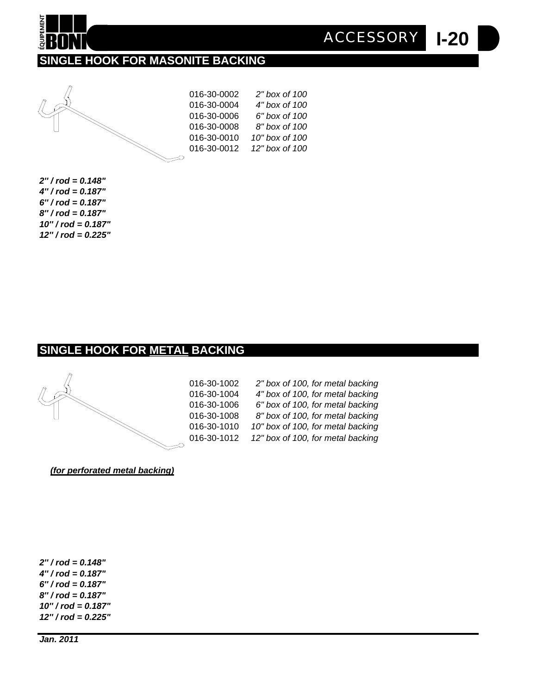# **SINGLE HOOK FOR MASONITE BACKING**



**QUIPEMENT** 

| 016-30-0002 | 2" box of 100  |
|-------------|----------------|
| 016-30-0004 | 4" box of 100  |
| 016-30-0006 | 6" box of 100  |
| 016-30-0008 | 8" box of 100  |
| 016-30-0010 | 10" box of 100 |
| 016-30-0012 | 12" box of 100 |
|             |                |

**I-20**

*ACCESSORY*

*2'' / rod = 0.148" 4'' / rod = 0.187" 6'' / rod = 0.187" 8'' / rod = 0.187" 10'' / rod = 0.187" 12'' / rod = 0.225"*

#### **SINGLE HOOK FOR METAL BACKING**



| 016-30-1002 | 2" box of 100, for metal backing  |
|-------------|-----------------------------------|
| 016-30-1004 | 4" box of 100, for metal backing  |
| 016-30-1006 | 6" box of 100, for metal backing  |
| 016-30-1008 | 8" box of 100, for metal backing  |
| 016-30-1010 | 10" box of 100, for metal backing |
| 016-30-1012 | 12" box of 100, for metal backing |
|             |                                   |

*(for perforated metal backing)*

*2'' / rod = 0.148" 4'' / rod = 0.187" 6'' / rod = 0.187" 8'' / rod = 0.187" 10'' / rod = 0.187" 12'' / rod = 0.225"*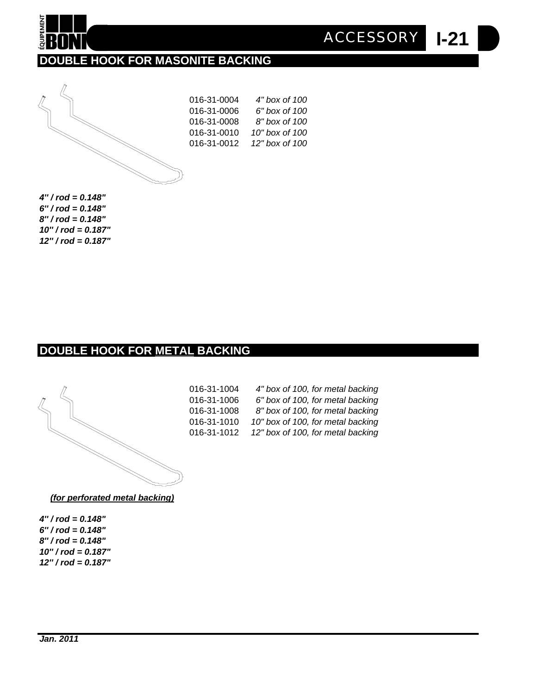

016-31-0004 *4" box of 100* 016-31-0006 *6" box of 100* 016-31-0008 *8" box of 100* 016-31-0010 *10" box of 100* 016-31-0012 *12" box of 100*



*6'' / rod = 0.148" 8'' / rod = 0.148" 10'' / rod = 0.187" 12'' / rod = 0.187"*

#### **DOUBLE HOOK FOR METAL BACKING**



016-31-1004 *4" box of 100, for metal backing* 016-31-1006 *6" box of 100, for metal backing* 016-31-1008 *8" box of 100, for metal backing* 016-31-1010 *10" box of 100, for metal backing* 016-31-1012 *12" box of 100, for metal backing* **I-21**

*ACCESSORY*

*(for perforated metal backing)*

*4'' / rod = 0.148" 6'' / rod = 0.148" 8'' / rod = 0.148" 10'' / rod = 0.187" 12'' / rod = 0.187"*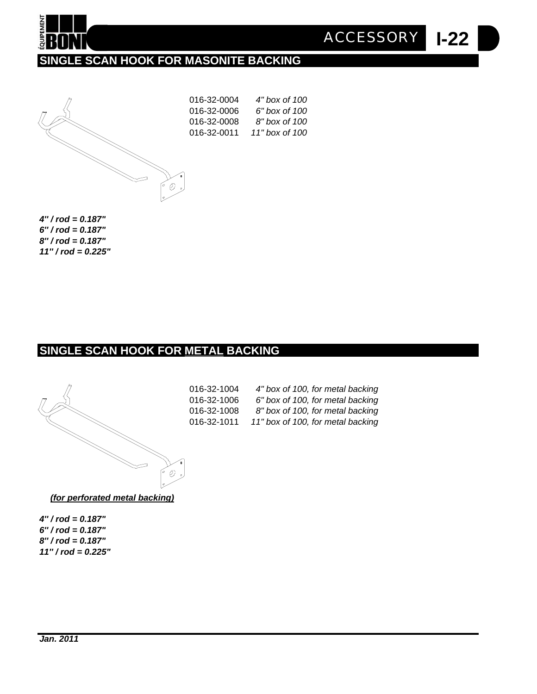

**SINGLE SCAN HOOK FOR MASONITE BACKING**



| 016-32-0004 | 4" box of 100  |
|-------------|----------------|
| 016-32-0006 | 6" box of 100  |
| 016-32-0008 | 8" box of 100  |
| 016-32-0011 | 11" box of 100 |
|             |                |

**I-22**

*ACCESSORY*

*4'' / rod = 0.187" 6'' / rod = 0.187" 8'' / rod = 0.187" 11'' / rod = 0.225"*

## **SINGLE SCAN HOOK FOR METAL BACKING**



| 016-32-1004 | 4" box of 100, for metal backing  |
|-------------|-----------------------------------|
| 016-32-1006 | 6" box of 100, for metal backing  |
| 016-32-1008 | 8" box of 100, for metal backing  |
| 016-32-1011 | 11" box of 100, for metal backing |
|             |                                   |

*(for perforated metal backing)*

*4'' / rod = 0.187" 6'' / rod = 0.187" 8'' / rod = 0.187" 11'' / rod = 0.225"*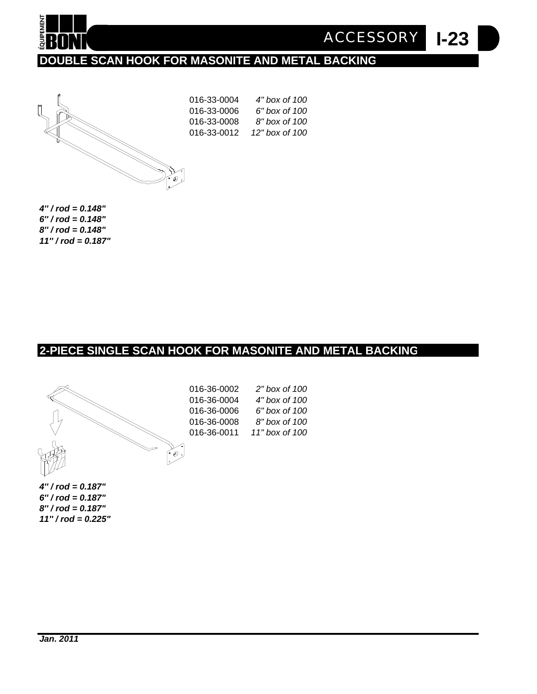

**I-23** *ACCESSORY*

# **DOUBLE SCAN HOOK FOR MASONITE AND METAL BACKING**



016-33-0004 *4" box of 100* 016-33-0006 *6" box of 100* 016-33-0008 *8" box of 100* 016-33-0012 *12" box of 100*

*4'' / rod = 0.148" 6'' / rod = 0.148" 8'' / rod = 0.148" 11'' / rod = 0.187"*

#### **2-PIECE SINGLE SCAN HOOK FOR MASONITE AND METAL BACKING**



| 016-36-0002 | 2" box of 100  |
|-------------|----------------|
| 016-36-0004 | 4" box of 100  |
| 016-36-0006 | 6" box of 100  |
| 016-36-0008 | 8" box of 100  |
| 016-36-0011 | 11" box of 100 |
|             |                |

*4'' / rod = 0.187" 6'' / rod = 0.187" 8'' / rod = 0.187" 11'' / rod = 0.225"*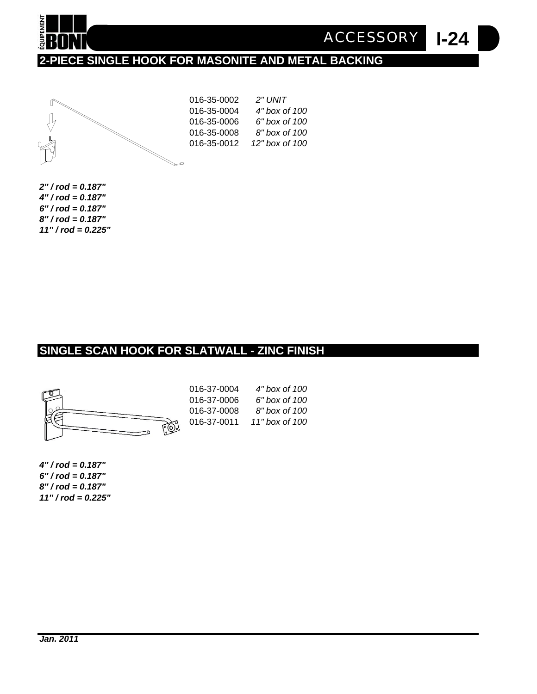

**I-24** *ACCESSORY*

# **2-PIECE SINGLE HOOK FOR MASONITE AND METAL BACKING**



016-35-0002 *2" UNIT* 016-35-0004 *4" box of 100* 016-35-0006 *6" box of 100* 016-35-0008 *8" box of 100* 016-35-0012 *12" box of 100*

*2'' / rod = 0.187" 4'' / rod = 0.187" 6'' / rod = 0.187" 8'' / rod = 0.187" 11'' / rod = 0.225"*

#### **SINGLE SCAN HOOK FOR SLATWALL - ZINC FINISH**



*4'' / rod = 0.187" 6'' / rod = 0.187" 8'' / rod = 0.187" 11'' / rod = 0.225"*

| 016-37-0004 | 4" box of 100  |
|-------------|----------------|
| 016-37-0006 | 6" box of 100  |
| 016-37-0008 | 8" box of 100  |
| 016-37-0011 | 11" box of 100 |
|             |                |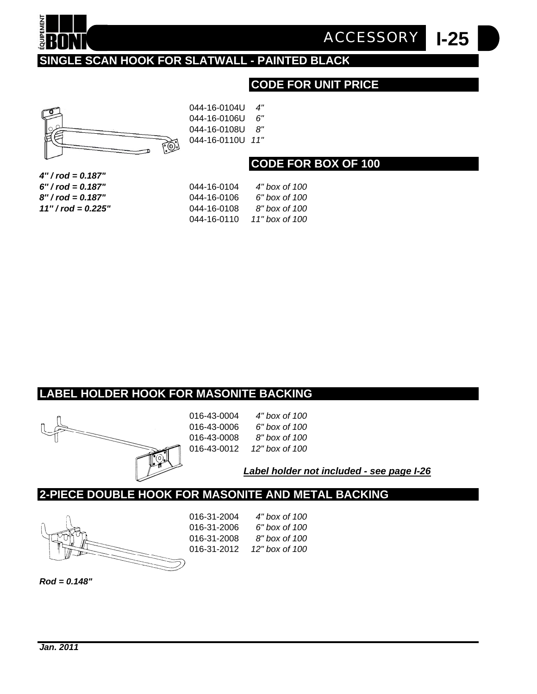

**I-25** *ACCESSORY*

# **SINGLE SCAN HOOK FOR SLATWALL - PAINTED BLACK**

# **CODE FOR UNIT PRICE**



044-16-0104U *4"* 044-16-0106U *6"* 044-16-0108U *8"* 044-16-0110U *11"*

#### **CODE FOR BOX OF 100**

| 4" / rod = 0.187"    |
|----------------------|
| 6" / rod = 0.187"    |
| 8'' / rod = 0.187"   |
| $11" / rod = 0.225"$ |

| 6" / rod = 0.187"    | 044-16-0104 | 4" hox of 100  |
|----------------------|-------------|----------------|
| 8" / rod = 0.187"    | 044-16-0106 | 6" hox of 100  |
| $11" / rod = 0.225"$ | 044-16-0108 | 8" hox of 100  |
|                      | 044-16-0110 | 11" box of 100 |

#### **LABEL HOLDER HOOK FOR MASONITE BACKING**



| 016-43-0004 | 4" bo  |
|-------------|--------|
| 016-43-0006 | 6" bo  |
| 016-43-0008 | 8" bo  |
| 016-43-0012 | 12" bo |
|             |        |

016-43-0004 *4" box of 100* 016-43-0006 *6" box of 100* 016-43-0008 *8" box of 100* 016-43-0012 *12" box of 100*

*Label holder not included - see page I-26*

#### **2-PIECE DOUBLE HOOK FOR MASONITE AND METAL BACKING**



| 016-31-2004 | 4" box of 100  |
|-------------|----------------|
| 016-31-2006 | 6" box of 100  |
| 016-31-2008 | 8" hox of 100  |
| 016-31-2012 | 12" hox of 100 |
|             |                |

*Rod = 0.148"*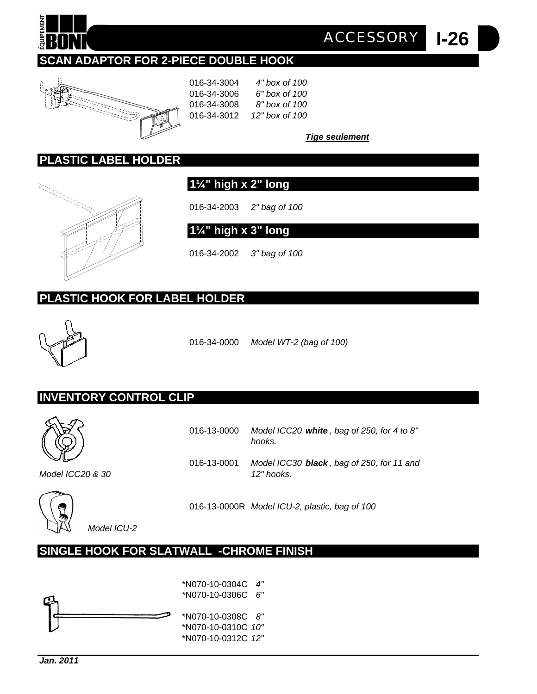

# **SCAN ADAPTOR FOR 2-PIECE DOUBLE HOOK**



016-34-3004 *4" box of 100* 016-34-3006 *6" box of 100* 016-34-3008 *8" box of 100* 016-34-3012 *12" box of 100*

*Tige seulement*

*ACCESSORY*

**I-26**

#### **PLASTIC LABEL HOLDER**



**1¼" high x 2" long**

016-34-2003 *2" bag of 100* 

**1¼" high x 3" long**

016-34-2002 *3" bag of 100* 

# **PLASTIC HOOK FOR LABEL HOLDER**



016-34-0000 *Model WT-2 (bag of 100)*

#### **INVENTORY CONTROL CLIP**



016-13-0000 *Model ICC20 white , bag of 250, for 4 to 8" hooks.*

016-13-0001 *Model ICC30 black , bag of 250, for 11 and*

*Model ICC20 & 30 12" hooks.*



016-13-0000R *Model ICU-2, plastic, bag of 100*

*Model ICU-2*

# **SINGLE HOOK FOR SLATWALL -CHROME FINISH**

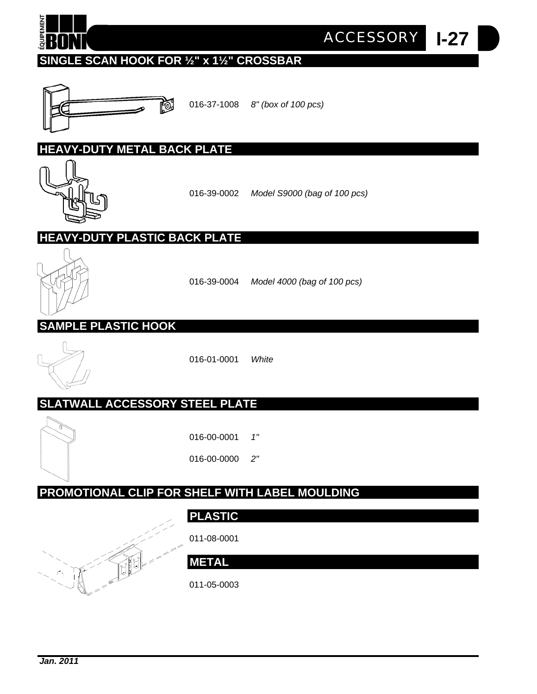

**I-27** *ACCESSORY*

# **SINGLE SCAN HOOK FOR ½" x 1½" CROSSBAR**



016-37-1008 *8" (box of 100 pcs)*

#### **HEAVY-DUTY METAL BACK PLATE**



016-39-0002 *Model S9000 (bag of 100 pcs)*

# **HEAVY-DUTY PLASTIC BACK PLATE**



016-39-0004 *Model 4000 (bag of 100 pcs)*

# **SAMPLE PLASTIC HOOK**



016-01-0001 *White*

# **SLATWALL ACCESSORY STEEL PLATE**



016-00-0001 *1"*

016-00-0000 *2"*

# **PROMOTIONAL CLIP FOR SHELF WITH LABEL MOULDING**

# **PLASTIC**

011-08-0001



**METAL**

011-05-0003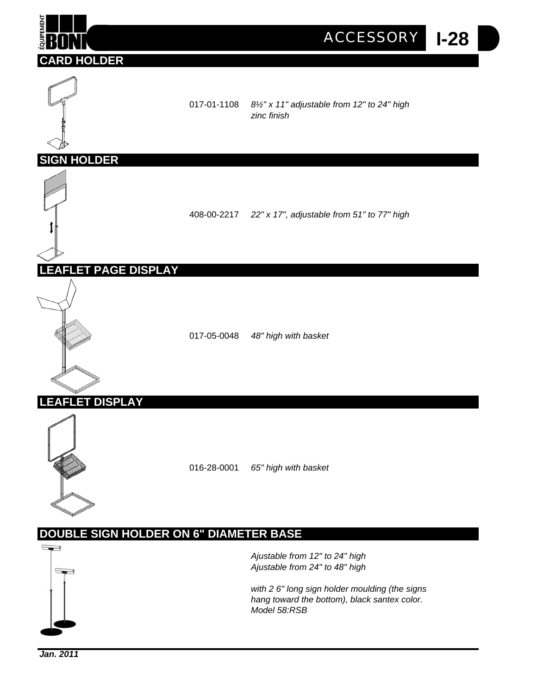

*hang toward the bottom), black santex color. Model 58:RSB*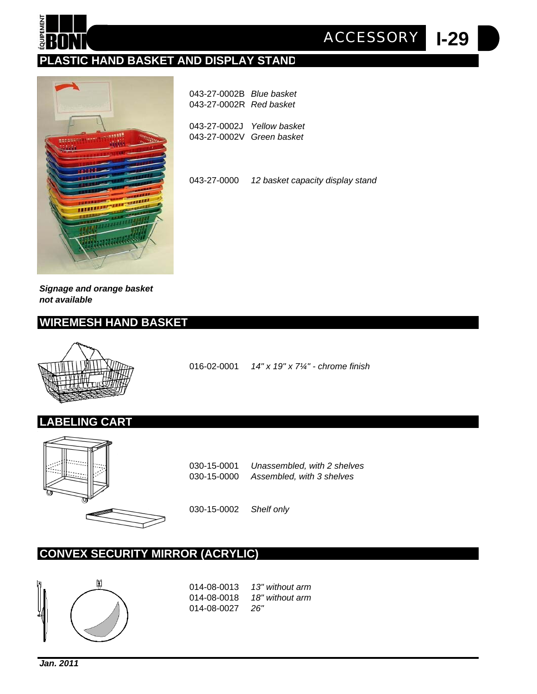

**I-29** *ACCESSORY*

# **PLASTIC HAND BASKET AND DISPLAY STAND**



| 043-27-0002B Blue basket<br>043-27-0002R Red basket     |  |
|---------------------------------------------------------|--|
| 043-27-0002J Yellow basket<br>043-27-0002V Green basket |  |

043-27-0000 *12 basket capacity display stand*

*Signage and orange basket not available*

#### **WIREMESH HAND BASKET**



**LABELING CART**

016-02-0001 *14" x 19" x 7¼" - chrome finish*



030-15-0001 *Unassembled, with 2 shelves* 030-15-0000 *Assembled, with 3 shelves*

030-15-0002 *Shelf only*

#### **CONVEX SECURITY MIRROR (ACRYLIC)**



014-08-0013 *13" without arm* 014-08-0018 *18" without arm* 014-08-0027 *26"*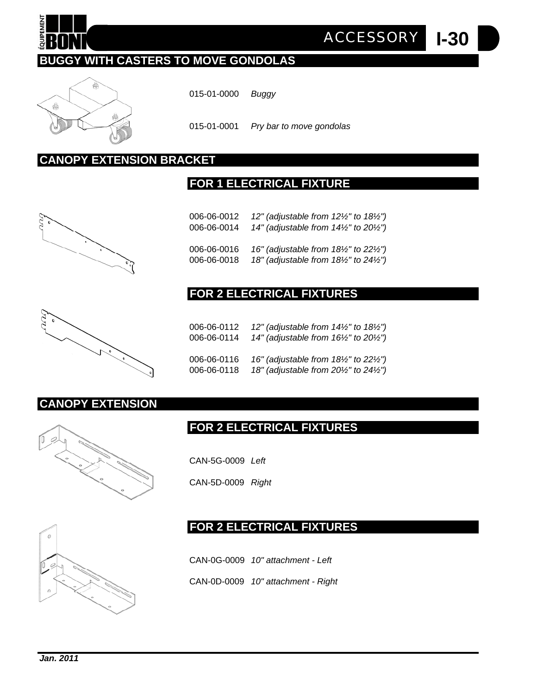

# **BUGGY WITH CASTERS TO MOVE GONDOLAS**



015-01-0000 *Buggy*

015-01-0001 *Pry bar to move gondolas*

# **CANOPY EXTENSION BRACKET**

#### **FOR 1 ELECTRICAL FIXTURE**





#### **FOR 2 ELECTRICAL FIXTURES**

| 0 |  |
|---|--|
|   |  |
|   |  |

| 006-06-0112 | 12" (adjustable from $14\frac{1}{2}$ " to $18\frac{1}{2}$ ")  |
|-------------|---------------------------------------------------------------|
| 006-06-0114 | 14" (adjustable from 16½" to 20½")                            |
| 006-06-0116 | 16" (adjustable from $18\frac{1}{2}$ " to 22 $\frac{1}{2}$ ") |
| 006-06-0118 | 18" (adjustable from $20\frac{1}{2}$ " to $24\frac{1}{2}$ ")  |

#### **CANOPY EXTENSION**



CAN-5G-0009 *Left*

CAN-5D-0009 *Right*



# **FOR 2 ELECTRICAL FIXTURES**

**FOR 2 ELECTRICAL FIXTURES**

CAN-0G-0009 *10" attachment - Left* CAN-0D-0009 *10" attachment - Right*

*ACCESSORY*

**I-30**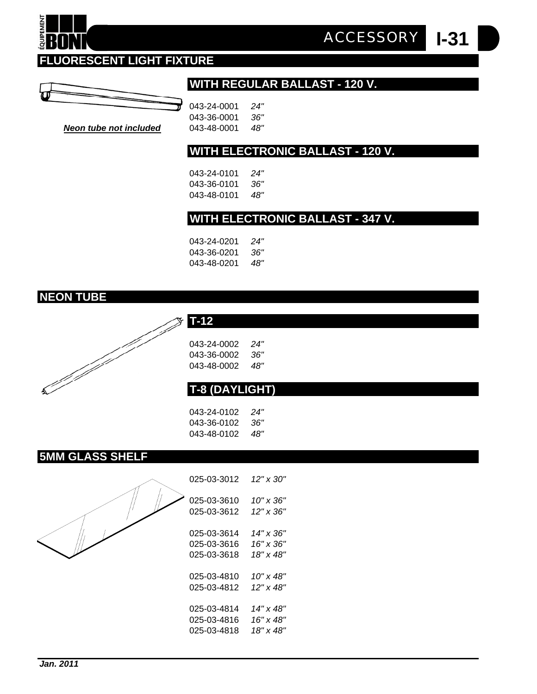# **FLUORESCENT LIGHT FIXTURE**



# **WITH REGULAR BALLAST - 120 V.**

**I-31** *ACCESSORY*

| π  | 043-24-0001 | 24"  |
|----|-------------|------|
|    | 043-36-0001 | .36" |
| эd | 043-48-0001 | 48"  |

**Neon tube not include** 

#### **WITH ELECTRONIC BALLAST - 120 V.**

043-24-0101 *24"* 043-36-0101 *36"* 043-48-0101 *48"*

#### **WITH ELECTRONIC BALLAST - 347 V.**

| 043-24-0201 | 24" |
|-------------|-----|
| 043-36-0201 | 36" |
| 043-48-0201 | 48" |

# **NEON TUBE**

QUIPEMENT



| 043-24-0002 | 24' |
|-------------|-----|
| 043-36-0002 | 36' |
| 043-48-0002 | 48' |

# **T-8 (DAYLIGHT)**

043-24-0102 *24"* 043-36-0102 *36"* 043-48-0102 *48"*

#### **5MM GLASS SHELF**



| 025-03-3012 | $12" \times 30"$ |
|-------------|------------------|
| 025-03-3610 | 10" x 36"        |
| 025-03-3612 | 12" x 36"        |
| 025-03-3614 | 14" x 36"        |
| 025-03-3616 | 16" x 36"        |
| 025-03-3618 | 18" x 48"        |
| 025-03-4810 | 10" x 48"        |
| 025-03-4812 | 12" x 48"        |
| 025-03-4814 | 14" x 48"        |
| 025-03-4816 | 16" x 48"        |
| 025-03-4818 | 18" x 48"        |

| Jan. 2011 |  |
|-----------|--|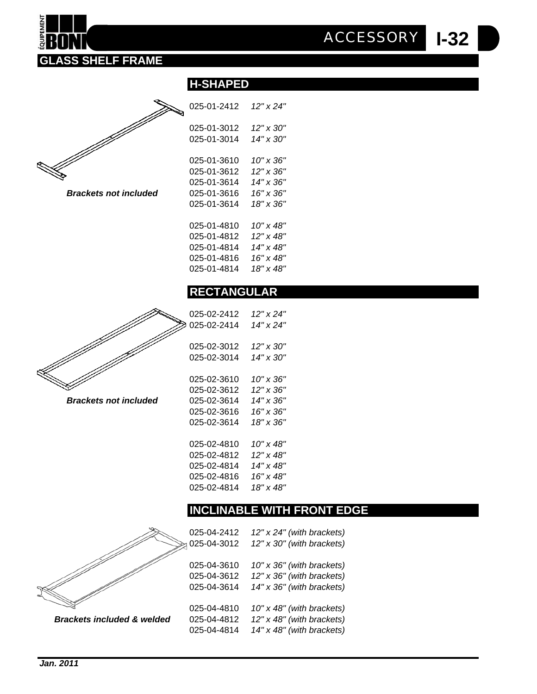



 $Brackets$  not *included* 

| 025-01-2412 | 12" x 24" |
|-------------|-----------|
| 025-01-3012 | 12" x 30" |
| 025-01-3014 | 14" x 30" |
| 025-01-3610 | 10" x 36" |
| 025-01-3612 | 12" x 36" |
| 025-01-3614 | 14" x 36" |
| 025-01-3616 | 16" x 36" |
| 025-01-3614 | 18" x 36" |
|             |           |
| 025-01-4810 | 10" x 48" |
| 025-01-4812 | 12" x 48" |
| 025-01-4814 | 14" x 48" |
| 025-01-4816 | 16" x 48" |
| 025-01-4814 | 18" x 48" |
|             |           |

**H-SHAPED** 

#### **RECTANGULAR**



 $Brackets not included$ 

| 025-02-2412 | 12" x 24" |
|-------------|-----------|
| 025-02-2414 | 14" x 24" |
|             |           |
| 025-02-3012 | 12" x 30" |
| 025-02-3014 | 14" x 30" |
|             |           |
| 025-02-3610 | 10" x 36" |
| 025-02-3612 | 12" x 36" |
| 025-02-3614 | 14" x 36" |
| 025-02-3616 | 16" x 36" |
| 025-02-3614 | 18" x 36" |
|             |           |
| 025-02-4810 | 10" x 48" |
| 025-02-4812 | 12" x 48" |
| 025-02-4814 | 14" x 48" |
| 025-02-4816 | 16" x 48" |
| 025-02-4814 | 18" x 48" |
|             |           |

#### **INCLINABLE WITH FRONT EDGE**

025-04-2412 *12" x 24" (with brackets)* 025-04-3012 *12" x 30" (with brackets)* 025-04-3610 *10" x 36" (with brackets)* 025-04-3612 *12" x 36" (with brackets)* 025-04-3614 *14" x 36" (with brackets)* 025-04-4810 *10" x 48" (with brackets) Brackets included & welded* 025-04-4812 *12" x 48" (with brackets)* 025-04-4814 *14" x 48" (with brackets)*



| Jan. 2011 |  |
|-----------|--|
|           |  |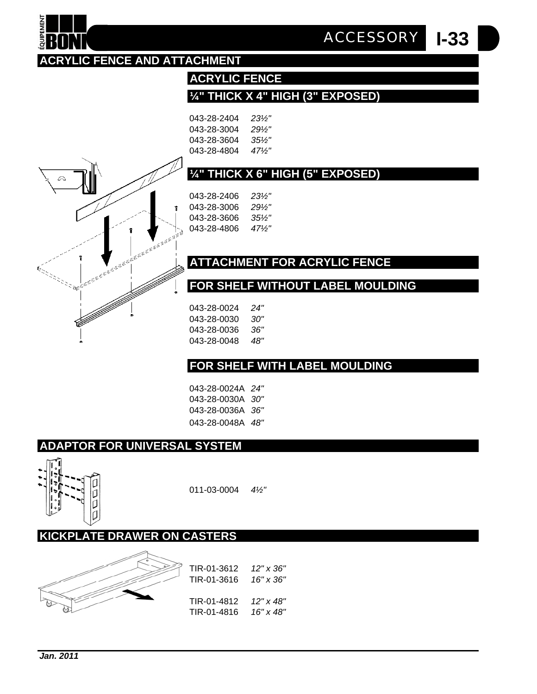# **KICKPLATE DRAWER ON CASTERS**









011-03-0004 *4½"*

# **ADAPTOR FOR UNIVERSAL SYSTEM**

- 043-28-0024A *24"* 043-28-0030A *30"* 043-28-0036A *36"* 043-28-0048A *48"*
- 
- 
- 
- 043-28-0036 *36"* 043-28-0048 *48"*

043-28-0024 *24"* 043-28-0030 *30"*

# **FOR SHELF WITH LABEL MOULDING**



# **ATTACHMENT FOR ACRYLIC FENCE**

**FOR SHELF WITHOUT LABEL MOULDING**

| 043-28-2406 | 23½" |
|-------------|------|
| 043-28-3006 | 29½" |
| 043-28-3606 | 35½" |
| 043-28-4806 | 47½" |
|             |      |

# **¼" THICK X 6" HIGH (5" EXPOSED)**

| 043-28-2404 | 23½"     |
|-------------|----------|
| 043-28-3004 | 29½"     |
| 043-28-3604 | $35\%$ " |
| 043-28-4804 | 47½"     |
|             |          |

**ACRYLIC FENCE**

# **ACRYLIC FENCE AND ATTACHMENT**

**¼" THICK X 4" HIGH (3" EXPOSED)**

**I-33** *ACCESSORY*